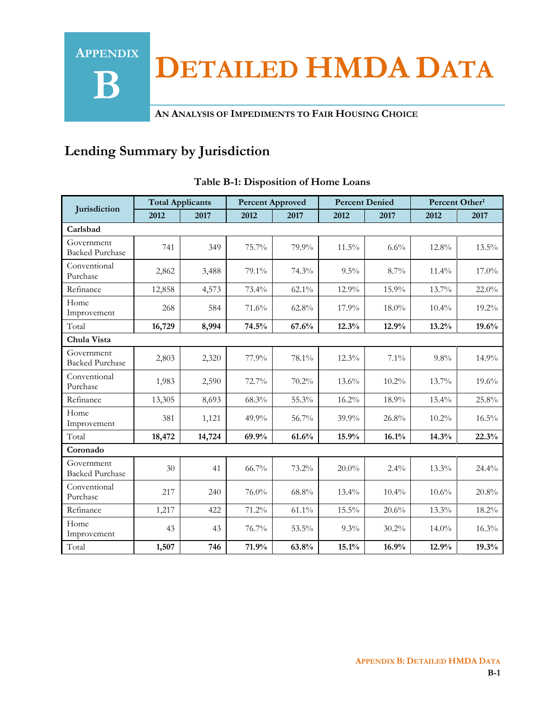**DETAILED HMDA DATA**

**AN ANALYSIS OF IMPEDIMENTS TO FAIR HOUSING CHOICE**

# **Lending Summary by Jurisdiction**

**APPENDIX**

**B**

|                                      | <b>Total Applicants</b> |        | <b>Percent Approved</b> |          | <b>Percent Denied</b> |         | Percent Other <sup>1</sup> |          |
|--------------------------------------|-------------------------|--------|-------------------------|----------|-----------------------|---------|----------------------------|----------|
| Jurisdiction                         | 2012                    | 2017   | 2012                    | 2017     | 2012                  | 2017    | 2012                       | 2017     |
| Carlsbad                             |                         |        |                         |          |                       |         |                            |          |
| Government<br><b>Backed Purchase</b> | 741                     | 349    | 75.7%                   | 79.9%    | 11.5%                 | 6.6%    | 12.8%                      | $13.5\%$ |
| Conventional<br>Purchase             | 2,862                   | 3,488  | 79.1%                   | 74.3%    | $9.5\%$               | 8.7%    | 11.4%                      | $17.0\%$ |
| Refinance                            | 12,858                  | 4,573  | 73.4%                   | $62.1\%$ | 12.9%                 | 15.9%   | 13.7%                      | 22.0%    |
| Home<br>Improvement                  | 268                     | 584    | 71.6%                   | 62.8%    | 17.9%                 | 18.0%   | 10.4%                      | 19.2%    |
| Total                                | 16,729                  | 8,994  | 74.5%                   | 67.6%    | 12.3%                 | 12.9%   | 13.2%                      | 19.6%    |
| Chula Vista                          |                         |        |                         |          |                       |         |                            |          |
| Government<br><b>Backed Purchase</b> | 2,803                   | 2,320  | 77.9%                   | 78.1%    | 12.3%                 | 7.1%    | 9.8%                       | 14.9%    |
| Conventional<br>Purchase             | 1,983                   | 2,590  | $72.7\%$                | $70.2\%$ | $13.6\%$              | 10.2%   | $13.7\%$                   | $19.6\%$ |
| Refinance                            | 13,305                  | 8,693  | 68.3%                   | 55.3%    | 16.2%                 | 18.9%   | 15.4%                      | 25.8%    |
| Home<br>Improvement                  | 381                     | 1,121  | 49.9%                   | 56.7%    | 39.9%                 | 26.8%   | 10.2%                      | 16.5%    |
| Total                                | 18,472                  | 14,724 | 69.9%                   | 61.6%    | 15.9%                 | 16.1%   | 14.3%                      | 22.3%    |
| Coronado                             |                         |        |                         |          |                       |         |                            |          |
| Government<br><b>Backed Purchase</b> | 30                      | 41     | $66.7\%$                | 73.2%    | $20.0\%$              | $2.4\%$ | 13.3%                      | 24.4%    |
| Conventional<br>Purchase             | 217                     | 240    | 76.0%                   | 68.8%    | $13.4\%$              | 10.4%   | 10.6%                      | 20.8%    |
| Refinance                            | 1,217                   | 422    | 71.2%                   | $61.1\%$ | 15.5%                 | 20.6%   | 13.3%                      | 18.2%    |
| Home<br>Improvement                  | 43                      | 43     | $76.7\%$                | 53.5%    | $9.3\%$               | 30.2%   | $14.0\%$                   | $16.3\%$ |
| Total                                | 1,507                   | 746    | 71.9%                   | 63.8%    | 15.1%                 | 16.9%   | 12.9%                      | 19.3%    |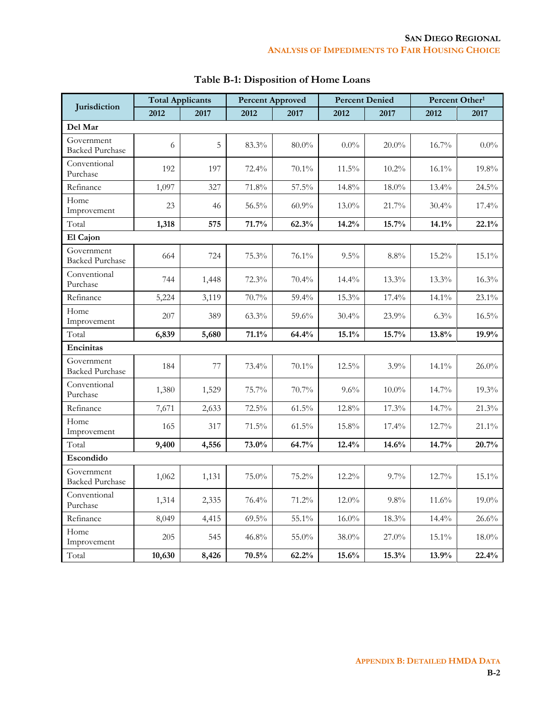|                                      | <b>Total Applicants</b> |       | <b>Percent Approved</b> |          | <b>Percent Denied</b> |          | Percent Other <sup>1</sup> |          |
|--------------------------------------|-------------------------|-------|-------------------------|----------|-----------------------|----------|----------------------------|----------|
| Jurisdiction                         | 2012                    | 2017  | 2012                    | 2017     | 2012                  | 2017     | 2012                       | 2017     |
| Del Mar                              |                         |       |                         |          |                       |          |                            |          |
| Government<br><b>Backed Purchase</b> | 6                       | 5     | 83.3%                   | $80.0\%$ | $0.0\%$               | $20.0\%$ | 16.7%                      | $0.0\%$  |
| Conventional<br>Purchase             | 192                     | 197   | $72.4\%$                | 70.1%    | $11.5\%$              | 10.2%    | 16.1%                      | 19.8%    |
| Refinance                            | 1,097                   | 327   | 71.8%                   | 57.5%    | 14.8%                 | $18.0\%$ | 13.4%                      | 24.5%    |
| Home<br>Improvement                  | 23                      | 46    | 56.5%                   | 60.9%    | $13.0\%$              | 21.7%    | $30.4\%$                   | $17.4\%$ |
| Total                                | 1,318                   | 575   | 71.7%                   | 62.3%    | 14.2%                 | 15.7%    | 14.1%                      | 22.1%    |
| El Cajon                             |                         |       |                         |          |                       |          |                            |          |
| Government<br><b>Backed Purchase</b> | 664                     | 724   | 75.3%                   | 76.1%    | 9.5%                  | $8.8\%$  | 15.2%                      | 15.1%    |
| Conventional<br>Purchase             | 744                     | 1,448 | $72.3\%$                | 70.4%    | $14.4\%$              | 13.3%    | 13.3%                      | 16.3%    |
| Refinance                            | 5,224                   | 3,119 | 70.7%                   | 59.4%    | 15.3%                 | 17.4%    | 14.1%                      | 23.1%    |
| Home<br>Improvement                  | 207                     | 389   | 63.3%                   | 59.6%    | 30.4%                 | 23.9%    | 6.3%                       | $16.5\%$ |
| Total                                | 6,839                   | 5,680 | 71.1%                   | 64.4%    | 15.1%                 | 15.7%    | 13.8%                      | 19.9%    |
| Encinitas                            |                         |       |                         |          |                       |          |                            |          |
| Government<br><b>Backed Purchase</b> | 184                     | 77    | 73.4%                   | 70.1%    | $12.5\%$              | 3.9%     | 14.1%                      | $26.0\%$ |
| Conventional<br>Purchase             | 1,380                   | 1,529 | 75.7%                   | 70.7%    | 9.6%                  | $10.0\%$ | 14.7%                      | 19.3%    |
| Refinance                            | 7,671                   | 2,633 | 72.5%                   | 61.5%    | 12.8%                 | 17.3%    | 14.7%                      | 21.3%    |
| Home<br>Improvement                  | 165                     | 317   | 71.5%                   | 61.5%    | 15.8%                 | 17.4%    | 12.7%                      | 21.1%    |
| Total                                | 9,400                   | 4,556 | 73.0%                   | 64.7%    | 12.4%                 | 14.6%    | 14.7%                      | 20.7%    |
| Escondido                            |                         |       |                         |          |                       |          |                            |          |
| Government<br><b>Backed Purchase</b> | 1,062                   | 1,131 | 75.0%                   | 75.2%    | 12.2%                 | 9.7%     | 12.7%                      | 15.1%    |
| Conventional<br>Purchase             | 1,314                   | 2,335 | 76.4%                   | $71.2\%$ | $12.0\%$              | $9.8\%$  | 11.6%                      | $19.0\%$ |
| Refinance                            | 8,049                   | 4,415 | $69.5\%$                | 55.1%    | $16.0\%$              | 18.3%    | 14.4%                      | 26.6%    |
| Home<br>Improvement                  | 205                     | 545   | 46.8%                   | 55.0%    | 38.0%                 | 27.0%    | $15.1\%$                   | $18.0\%$ |
| Total                                | 10,630                  | 8,426 | $70.5\%$                | 62.2%    | $15.6\%$              | 15.3%    | 13.9%                      | 22.4%    |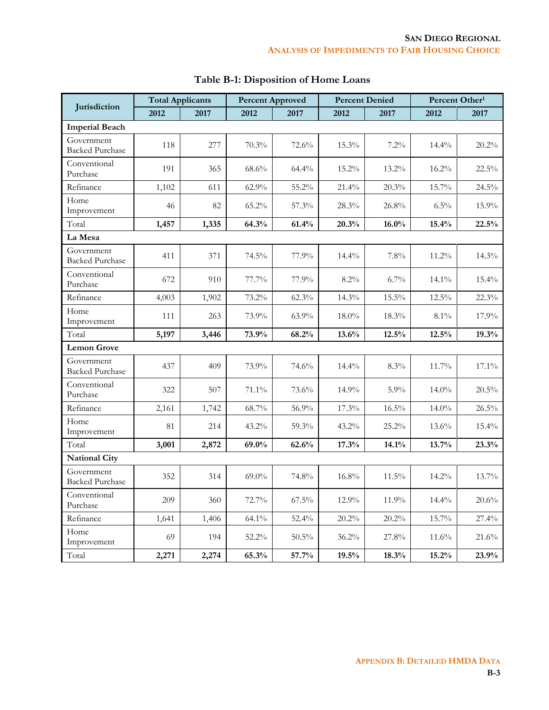|                                      | <b>Total Applicants</b> |       | <b>Percent Approved</b> |          | <b>Percent Denied</b> |          | Percent Other <sup>1</sup> |       |
|--------------------------------------|-------------------------|-------|-------------------------|----------|-----------------------|----------|----------------------------|-------|
| Jurisdiction                         | 2012                    | 2017  | 2012                    | 2017     | 2012                  | 2017     | 2012                       | 2017  |
| <b>Imperial Beach</b>                |                         |       |                         |          |                       |          |                            |       |
| Government<br><b>Backed Purchase</b> | 118                     | 277   | 70.3%                   | 72.6%    | 15.3%                 | 7.2%     | $14.4\%$                   | 20.2% |
| Conventional<br>Purchase             | 191                     | 365   | $68.6\%$                | 64.4%    | 15.2%                 | 13.2%    | 16.2%                      | 22.5% |
| Refinance                            | 1,102                   | 611   | 62.9%                   | 55.2%    | 21.4%                 | 20.3%    | 15.7%                      | 24.5% |
| Home<br>Improvement                  | 46                      | 82    | $65.2\%$                | 57.3%    | $28.3\%$              | 26.8%    | $6.5\%$                    | 15.9% |
| Total                                | 1,457                   | 1,335 | 64.3%                   | 61.4%    | 20.3%                 | $16.0\%$ | 15.4%                      | 22.5% |
| La Mesa                              |                         |       |                         |          |                       |          |                            |       |
| Government<br><b>Backed Purchase</b> | 411                     | 371   | 74.5%                   | 77.9%    | $14.4\%$              | $7.8\%$  | $11.2\%$                   | 14.3% |
| Conventional<br>Purchase             | 672                     | 910   | 77.7%                   | 77.9%    | $8.2\%$               | $6.7\%$  | $14.1\%$                   | 15.4% |
| Refinance                            | 4,003                   | 1,902 | 73.2%                   | 62.3%    | 14.3%                 | 15.5%    | 12.5%                      | 22.3% |
| Home<br>Improvement                  | 111                     | 263   | 73.9%                   | $63.9\%$ | $18.0\%$              | 18.3%    | $8.1\%$                    | 17.9% |
| Total                                | 5,197                   | 3,446 | 73.9%                   | 68.2%    | 13.6%                 | 12.5%    | 12.5%                      | 19.3% |
| <b>Lemon Grove</b>                   |                         |       |                         |          |                       |          |                            |       |
| Government<br><b>Backed Purchase</b> | 437                     | 409   | 73.9%                   | 74.6%    | $14.4\%$              | 8.3%     | 11.7%                      | 17.1% |
| Conventional<br>Purchase             | 322                     | 507   | 71.1%                   | 73.6%    | 14.9%                 | 5.9%     | $14.0\%$                   | 20.5% |
| Refinance                            | 2,161                   | 1,742 | 68.7%                   | 56.9%    | 17.3%                 | 16.5%    | $14.0\%$                   | 26.5% |
| Home<br>Improvement                  | 81                      | 214   | 43.2%                   | 59.3%    | $43.2\%$              | $25.2\%$ | $13.6\%$                   | 15.4% |
| Total                                | 3,001                   | 2,872 | 69.0%                   | 62.6%    | 17.3%                 | 14.1%    | 13.7%                      | 23.3% |
| <b>National City</b>                 |                         |       |                         |          |                       |          |                            |       |
| Government<br><b>Backed Purchase</b> | 352                     | 314   | $69.0\%$                | 74.8%    | 16.8%                 | 11.5%    | 14.2%                      | 13.7% |
| Conventional<br>Purchase             | 209                     | 360   | 72.7%                   | $67.5\%$ | 12.9%                 | 11.9%    | 14.4%                      | 20.6% |
| Refinance                            | 1,641                   | 1,406 | 64.1%                   | 52.4%    | 20.2%                 | 20.2%    | 15.7%                      | 27.4% |
| Home<br>Improvement                  | 69                      | 194   | 52.2%                   | $50.5\%$ | $36.2\%$              | 27.8%    | 11.6%                      | 21.6% |
| Total                                | 2,271                   | 2,274 | 65.3%                   | 57.7%    | 19.5%                 | 18.3%    | 15.2%                      | 23.9% |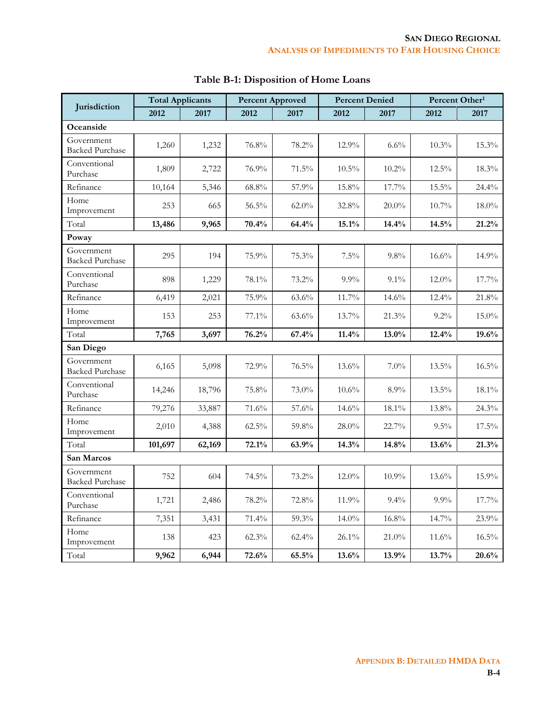|                                      | <b>Total Applicants</b> |        | <b>Percent Approved</b> |          | <b>Percent Denied</b> |          | Percent Other <sup>1</sup> |          |
|--------------------------------------|-------------------------|--------|-------------------------|----------|-----------------------|----------|----------------------------|----------|
| Jurisdiction                         | 2012                    | 2017   | 2012                    | 2017     | 2012                  | 2017     | 2012                       | 2017     |
| Oceanside                            |                         |        |                         |          |                       |          |                            |          |
| Government<br><b>Backed Purchase</b> | 1,260                   | 1,232  | 76.8%                   | 78.2%    | 12.9%                 | 6.6%     | 10.3%                      | 15.3%    |
| Conventional<br>Purchase             | 1,809                   | 2,722  | 76.9%                   | 71.5%    | $10.5\%$              | 10.2%    | $12.5\%$                   | 18.3%    |
| Refinance                            | 10,164                  | 5,346  | 68.8%                   | 57.9%    | 15.8%                 | 17.7%    | 15.5%                      | 24.4%    |
| Home<br>Improvement                  | 253                     | 665    | $56.5\%$                | $62.0\%$ | 32.8%                 | $20.0\%$ | $10.7\%$                   | $18.0\%$ |
| Total                                | 13,486                  | 9,965  | 70.4%                   | 64.4%    | 15.1%                 | 14.4%    | 14.5%                      | 21.2%    |
| Poway                                |                         |        |                         |          |                       |          |                            |          |
| Government<br><b>Backed Purchase</b> | 295                     | 194    | 75.9%                   | 75.3%    | 7.5%                  | $9.8\%$  | 16.6%                      | 14.9%    |
| Conventional<br>Purchase             | 898                     | 1,229  | 78.1%                   | 73.2%    | $9.9\%$               | $9.1\%$  | $12.0\%$                   | 17.7%    |
| Refinance                            | 6,419                   | 2,021  | 75.9%                   | 63.6%    | 11.7%                 | 14.6%    | $12.4\%$                   | 21.8%    |
| Home<br>Improvement                  | 153                     | 253    | 77.1%                   | $63.6\%$ | 13.7%                 | 21.3%    | $9.2\%$                    | $15.0\%$ |
| Total                                | 7,765                   | 3,697  | 76.2%                   | 67.4%    | 11.4%                 | $13.0\%$ | 12.4%                      | 19.6%    |
| San Diego                            |                         |        |                         |          |                       |          |                            |          |
| Government<br><b>Backed Purchase</b> | 6,165                   | 5,098  | 72.9%                   | $76.5\%$ | $13.6\%$              | $7.0\%$  | 13.5%                      | 16.5%    |
| Conventional<br>Purchase             | 14,246                  | 18,796 | 75.8%                   | 73.0%    | $10.6\%$              | 8.9%     | $13.5\%$                   | $18.1\%$ |
| Refinance                            | 79,276                  | 33,887 | 71.6%                   | 57.6%    | $14.6\%$              | 18.1%    | 13.8%                      | 24.3%    |
| Home<br>Improvement                  | 2,010                   | 4,388  | $62.5\%$                | 59.8%    | $28.0\%$              | 22.7%    | $9.5\%$                    | 17.5%    |
| Total                                | 101,697                 | 62,169 | 72.1%                   | 63.9%    | 14.3%                 | 14.8%    | 13.6%                      | 21.3%    |
| San Marcos                           |                         |        |                         |          |                       |          |                            |          |
| Government<br><b>Backed Purchase</b> | 752                     | 604    | 74.5%                   | 73.2%    | 12.0%                 | 10.9%    | 13.6%                      | 15.9%    |
| Conventional<br>Purchase             | 1,721                   | 2,486  | 78.2%                   | 72.8%    | 11.9%                 | 9.4%     | $9.9\%$                    | 17.7%    |
| Refinance                            | 7,351                   | 3,431  | 71.4%                   | 59.3%    | $14.0\%$              | 16.8%    | 14.7%                      | 23.9%    |
| Home<br>Improvement                  | 138                     | 423    | $62.3\%$                | $62.4\%$ | $26.1\%$              | $21.0\%$ | 11.6%                      | 16.5%    |
| Total                                | 9,962                   | 6,944  | 72.6%                   | 65.5%    | 13.6%                 | 13.9%    | 13.7%                      | 20.6%    |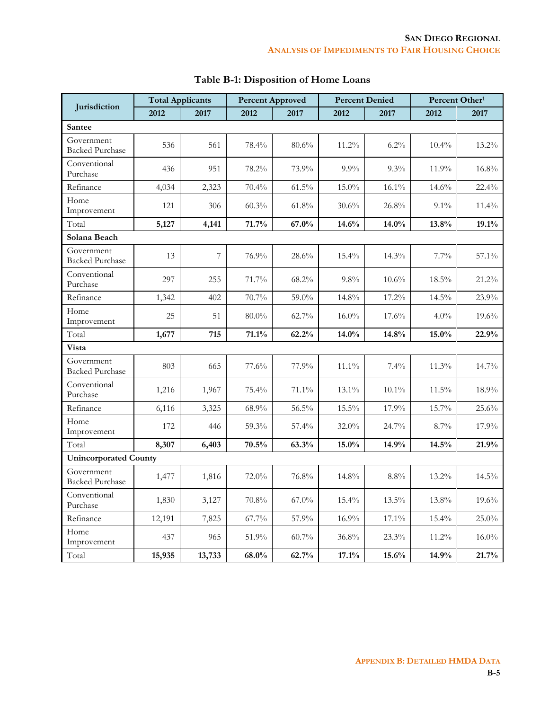|                                      | <b>Total Applicants</b> |        | <b>Percent Approved</b> |          | <b>Percent Denied</b> |          | Percent Other <sup>1</sup> |          |
|--------------------------------------|-------------------------|--------|-------------------------|----------|-----------------------|----------|----------------------------|----------|
| Jurisdiction                         | 2012                    | 2017   | 2012                    | 2017     | 2012                  | 2017     | 2012                       | 2017     |
| <b>Santee</b>                        |                         |        |                         |          |                       |          |                            |          |
| Government<br><b>Backed Purchase</b> | 536                     | 561    | 78.4%                   | 80.6%    | 11.2%                 | 6.2%     | $10.4\%$                   | 13.2%    |
| Conventional<br>Purchase             | 436                     | 951    | 78.2%                   | 73.9%    | $9.9\%$               | 9.3%     | 11.9%                      | 16.8%    |
| Refinance                            | 4,034                   | 2,323  | 70.4%                   | 61.5%    | 15.0%                 | 16.1%    | 14.6%                      | 22.4%    |
| Home<br>Improvement                  | 121                     | 306    | $60.3\%$                | 61.8%    | $30.6\%$              | 26.8%    | $9.1\%$                    | 11.4%    |
| Total                                | 5,127                   | 4,141  | 71.7%                   | 67.0%    | 14.6%                 | 14.0%    | 13.8%                      | 19.1%    |
| Solana Beach                         |                         |        |                         |          |                       |          |                            |          |
| Government<br><b>Backed Purchase</b> | 13                      | 7      | 76.9%                   | 28.6%    | $15.4\%$              | 14.3%    | $7.7\%$                    | 57.1%    |
| Conventional<br>Purchase             | 297                     | 255    | 71.7%                   | 68.2%    | $9.8\%$               | $10.6\%$ | $18.5\%$                   | 21.2%    |
| Refinance                            | 1,342                   | 402    | 70.7%                   | 59.0%    | 14.8%                 | 17.2%    | 14.5%                      | 23.9%    |
| Home<br>Improvement                  | 25                      | 51     | $80.0\%$                | 62.7%    | $16.0\%$              | 17.6%    | $4.0\%$                    | 19.6%    |
| Total                                | 1,677                   | 715    | 71.1%                   | 62.2%    | 14.0%                 | 14.8%    | $15.0\%$                   | 22.9%    |
| Vista                                |                         |        |                         |          |                       |          |                            |          |
| Government<br><b>Backed Purchase</b> | 803                     | 665    | 77.6%                   | 77.9%    | $11.1\%$              | 7.4%     | 11.3%                      | 14.7%    |
| Conventional<br>Purchase             | 1,216                   | 1,967  | 75.4%                   | 71.1%    | $13.1\%$              | $10.1\%$ | 11.5%                      | 18.9%    |
| Refinance                            | 6,116                   | 3,325  | 68.9%                   | 56.5%    | 15.5%                 | 17.9%    | 15.7%                      | 25.6%    |
| Home<br>Improvement                  | 172                     | 446    | 59.3%                   | 57.4%    | $32.0\%$              | 24.7%    | 8.7%                       | 17.9%    |
| Total                                | 8,307                   | 6,403  | 70.5%                   | 63.3%    | $15.0\%$              | 14.9%    | 14.5%                      | 21.9%    |
| <b>Unincorporated County</b>         |                         |        |                         |          |                       |          |                            |          |
| Government<br><b>Backed Purchase</b> | 1,477                   | 1,816  | 72.0%                   | 76.8%    | 14.8%                 | $8.8\%$  | 13.2%                      | 14.5%    |
| Conventional<br>Purchase             | 1,830                   | 3,127  | 70.8%                   | $67.0\%$ | 15.4%                 | 13.5%    | 13.8%                      | 19.6%    |
| Refinance                            | 12,191                  | 7,825  | 67.7%                   | 57.9%    | 16.9%                 | 17.1%    | 15.4%                      | 25.0%    |
| Home<br>Improvement                  | 437                     | 965    | 51.9%                   | $60.7\%$ | 36.8%                 | 23.3%    | 11.2%                      | $16.0\%$ |
| Total                                | 15,935                  | 13,733 | $68.0\%$                | 62.7%    | 17.1%                 | 15.6%    | 14.9%                      | 21.7%    |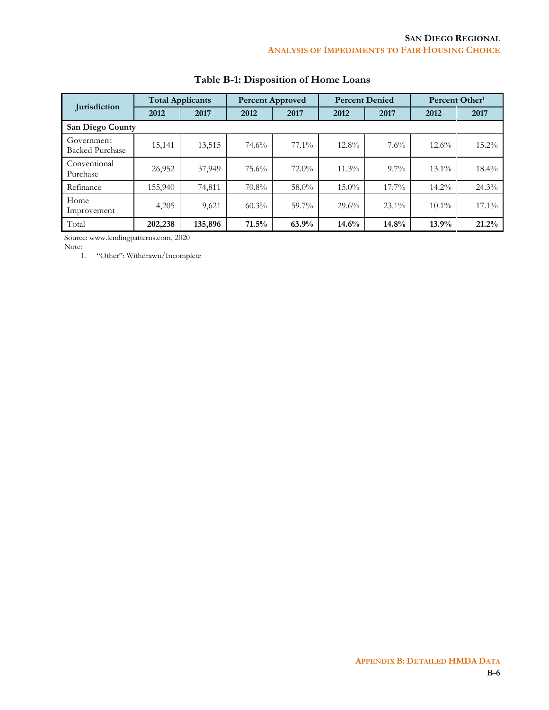| <b>Iurisdiction</b>                  |         | <b>Total Applicants</b> |          | <b>Percent Approved</b> |          | <b>Percent Denied</b><br>Percent Other <sup>1</sup> |          |          |
|--------------------------------------|---------|-------------------------|----------|-------------------------|----------|-----------------------------------------------------|----------|----------|
|                                      | 2012    | 2017                    | 2012     | 2017                    | 2012     | 2017                                                | 2012     | 2017     |
| San Diego County                     |         |                         |          |                         |          |                                                     |          |          |
| Government<br><b>Backed Purchase</b> | 15,141  | 13,515                  | 74.6%    | $77.1\%$                | $12.8\%$ | 7.6%                                                | $12.6\%$ | $15.2\%$ |
| Conventional<br>Purchase             | 26,952  | 37,949                  | 75.6%    | $72.0\%$                | $11.3\%$ | $9.7\%$                                             | $13.1\%$ | $18.4\%$ |
| Refinance                            | 155,940 | 74,811                  | $70.8\%$ | 58.0%                   | $15.0\%$ | $17.7\%$                                            | $14.2\%$ | 24.3%    |
| Home<br>Improvement                  | 4,205   | 9,621                   | 60.3%    | $59.7\%$                | 29.6%    | $23.1\%$                                            | $10.1\%$ | $17.1\%$ |
| Total                                | 202,238 | 135,896                 | 71.5%    | 63.9%                   | 14.6%    | 14.8%                                               | 13.9%    | 21.2%    |

## **Table B-1: Disposition of Home Loans**

Source: www.lendingpatterns.com, 2020

Note:<br>1.

1. "Other": Withdrawn/Incomplete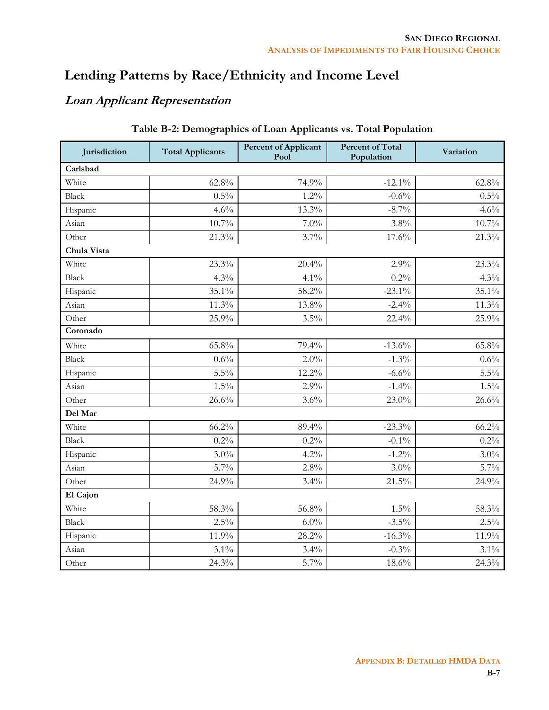# **Lending Patterns by Race/Ethnicity and Income Level**

## **Loan Applicant Representation**

| Jurisdiction | <b>Total Applicants</b> | <b>Percent of Applicant</b><br>Pool | <b>Percent of Total</b><br>Population | Variation |
|--------------|-------------------------|-------------------------------------|---------------------------------------|-----------|
| Carlsbad     |                         |                                     |                                       |           |
| White        | $62.8\%$                | 74.9%                               | $-12.1\%$                             | $62.8\%$  |
| <b>Black</b> | 0.5%                    | $1.2\%$                             | $-0.6%$                               | $0.5\%$   |
| Hispanic     | 4.6%                    | 13.3%                               | $-8.7\%$                              | 4.6%      |
| Asian        | 10.7%                   | $7.0\%$                             | $3.8\%$                               | $10.7\%$  |
| Other        | 21.3%                   | 3.7%                                | 17.6%                                 | 21.3%     |
| Chula Vista  |                         |                                     |                                       |           |
| White        | 23.3%                   | 20.4%                               | 2.9%                                  | 23.3%     |
| Black        | 4.3%                    | $4.1\%$                             | 0.2%                                  | 4.3%      |
| Hispanic     | 35.1%                   | 58.2%                               | $-23.1\%$                             | $35.1\%$  |
| Asian        | 11.3%                   | 13.8%                               | $-2.4%$                               | 11.3%     |
| Other        | 25.9%                   | 3.5%                                | 22.4%                                 | 25.9%     |
| Coronado     |                         |                                     |                                       |           |
| White        | 65.8%                   | 79.4%                               | $-13.6%$                              | $65.8\%$  |
| <b>Black</b> | 0.6%                    | 2.0%                                | $-1.3%$                               | 0.6%      |
| Hispanic     | 5.5%                    | 12.2%                               | $-6.6%$                               | $5.5\%$   |
| Asian        | $1.5\%$                 | 2.9%                                | $-1.4%$                               | $1.5\%$   |
| Other        | 26.6%                   | 3.6%                                | 23.0%                                 | 26.6%     |
| Del Mar      |                         |                                     |                                       |           |
| White        | 66.2%                   | 89.4%                               | $-23.3%$                              | 66.2%     |
| <b>Black</b> | 0.2%                    | 0.2%                                | $-0.1\%$                              | 0.2%      |
| Hispanic     | $3.0\%$                 | 4.2%                                | $-1.2%$                               | $3.0\%$   |
| Asian        | $5.7\%$                 | $2.8\%$                             | $3.0\%$                               | $5.7\%$   |
| Other        | 24.9%                   | $3.4\%$                             | 21.5%                                 | 24.9%     |
| El Cajon     |                         |                                     |                                       |           |
| White        | 58.3%                   | 56.8%                               | $1.5\%$                               | 58.3%     |
| Black        | 2.5%                    | $6.0\%$                             | $-3.5\%$                              | $2.5\%$   |
| Hispanic     | 11.9%                   | 28.2%                               | $-16.3%$                              | 11.9%     |
| Asian        | 3.1%                    | 3.4%                                | $-0.3%$                               | $3.1\%$   |
| Other        | 24.3%                   | $5.7\%$                             | 18.6%                                 | 24.3%     |

## **Table B-2: Demographics of Loan Applicants vs. Total Population**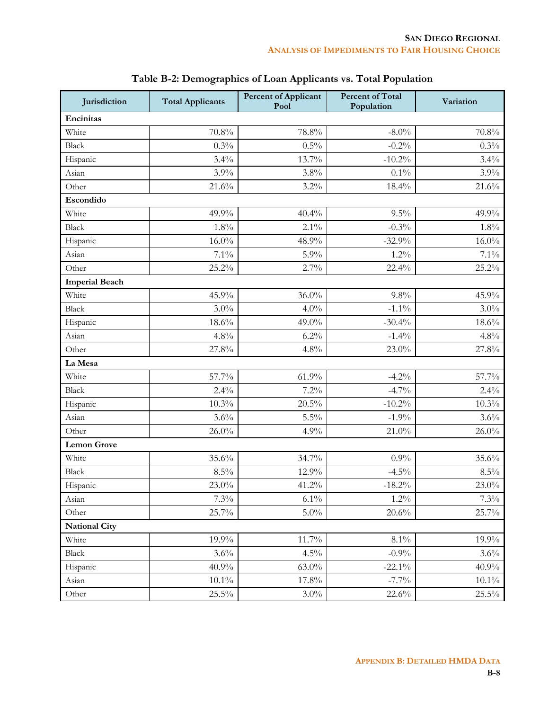| Jurisdiction          | <b>Total Applicants</b> | <b>Percent of Applicant</b><br>Pool | <b>Percent of Total</b><br>Population | Variation |
|-----------------------|-------------------------|-------------------------------------|---------------------------------------|-----------|
| Encinitas             |                         |                                     |                                       |           |
| White                 | 70.8%                   | 78.8%                               | $-8.0\%$                              | 70.8%     |
| Black                 | 0.3%                    | $0.5\%$                             | $-0.2%$                               | 0.3%      |
| Hispanic              | 3.4%                    | 13.7%                               | $-10.2%$                              | 3.4%      |
| Asian                 | 3.9%                    | 3.8%                                | $0.1\%$                               | 3.9%      |
| Other                 | 21.6%                   | 3.2%                                | 18.4%                                 | 21.6%     |
| Escondido             |                         |                                     |                                       |           |
| White                 | 49.9%                   | 40.4%                               | 9.5%                                  | 49.9%     |
| Black                 | 1.8%                    | $2.1\%$                             | $-0.3%$                               | 1.8%      |
| Hispanic              | $16.0\%$                | 48.9%                               | $-32.9%$                              | $16.0\%$  |
| Asian                 | 7.1%                    | $5.9\%$                             | $1.2\%$                               | 7.1%      |
| Other                 | 25.2%                   | 2.7%                                | 22.4%                                 | 25.2%     |
| <b>Imperial Beach</b> |                         |                                     |                                       |           |
| White                 | 45.9%                   | $36.0\%$                            | 9.8%                                  | 45.9%     |
| <b>Black</b>          | $3.0\%$                 | 4.0%                                | $-1.1\%$                              | $3.0\%$   |
| Hispanic              | 18.6%                   | 49.0%                               | $-30.4%$                              | 18.6%     |
| Asian                 | 4.8%                    | 6.2%                                | $-1.4%$                               | 4.8%      |
| Other                 | 27.8%                   | 4.8%                                | 23.0%                                 | 27.8%     |
| La Mesa               |                         |                                     |                                       |           |
| White                 | 57.7%                   | 61.9%                               | $-4.2%$                               | 57.7%     |
| Black                 | 2.4%                    | 7.2%                                | $-4.7\%$                              | 2.4%      |
| Hispanic              | 10.3%                   | 20.5%                               | $-10.2%$                              | $10.3\%$  |
| Asian                 | 3.6%                    | $5.5\%$                             | $-1.9\%$                              | 3.6%      |
| Other                 | $26.0\%$                | 4.9%                                | $21.0\%$                              | $26.0\%$  |
| <b>Lemon Grove</b>    |                         |                                     |                                       |           |
| White                 | 35.6%                   | 34.7%                               | 0.9%                                  | 35.6%     |
| <b>Black</b>          | 8.5%                    | 12.9%                               | $-4.5\%$                              | $8.5\%$   |
| Hispanic              | $23.0\%$                | 41.2%                               | $-18.2\%$                             | 23.0%     |
| Asian                 | 7.3%                    | $6.1\%$                             | $1.2\%$                               | 7.3%      |
| Other                 | 25.7%                   | $5.0\%$                             | 20.6%                                 | 25.7%     |
| <b>National City</b>  |                         |                                     |                                       |           |
| White                 | 19.9%                   | 11.7%                               | $8.1\%$                               | 19.9%     |
| Black                 | 3.6%                    | $4.5\%$                             | $-0.9\%$                              | 3.6%      |
| Hispanic              | 40.9%                   | $63.0\%$                            | $-22.1\%$                             | 40.9%     |
| Asian                 | $10.1\%$                | 17.8%                               | $-7.7\%$                              | $10.1\%$  |
| Other                 | 25.5%                   | $3.0\%$                             | 22.6%                                 | $25.5\%$  |

## **Table B-2: Demographics of Loan Applicants vs. Total Population**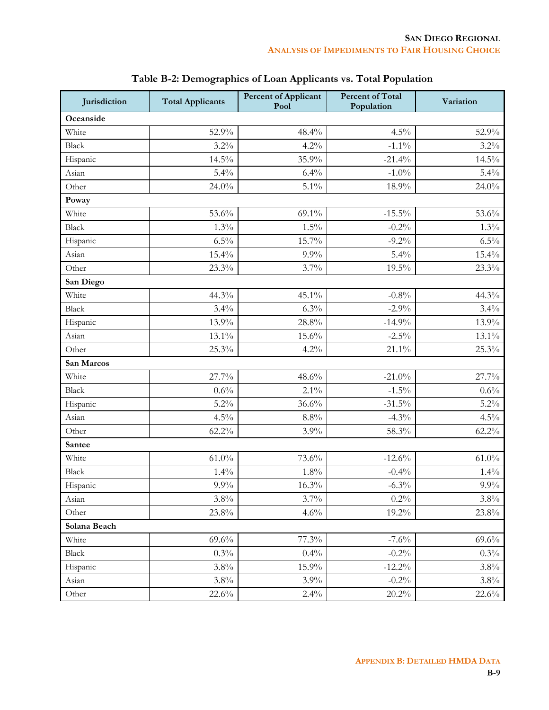| Jurisdiction | <b>Total Applicants</b> | <b>Percent of Applicant</b><br>Pool | <b>Percent of Total</b><br>Population | Variation |
|--------------|-------------------------|-------------------------------------|---------------------------------------|-----------|
| Oceanside    |                         |                                     |                                       |           |
| White        | 52.9%                   | 48.4%                               | 4.5%                                  | 52.9%     |
| <b>Black</b> | 3.2%                    | 4.2%                                | $-1.1\%$                              | $3.2\%$   |
| Hispanic     | 14.5%                   | 35.9%                               | $-21.4%$                              | 14.5%     |
| Asian        | 5.4%                    | 6.4%                                | $-1.0\%$                              | $5.4\%$   |
| Other        | 24.0%                   | 5.1%                                | 18.9%                                 | 24.0%     |
| Poway        |                         |                                     |                                       |           |
| White        | 53.6%                   | 69.1%                               | $-15.5\%$                             | 53.6%     |
| <b>Black</b> | 1.3%                    | 1.5%                                | $-0.2%$                               | 1.3%      |
| Hispanic     | 6.5%                    | $15.7\%$                            | $-9.2%$                               | $6.5\%$   |
| Asian        | 15.4%                   | $9.9\%$                             | 5.4%                                  | 15.4%     |
| Other        | 23.3%                   | 3.7%                                | 19.5%                                 | 23.3%     |
| San Diego    |                         |                                     |                                       |           |
| White        | 44.3%                   | 45.1%                               | $-0.8%$                               | 44.3%     |
| <b>Black</b> | 3.4%                    | 6.3%                                | $-2.9\%$                              | 3.4%      |
| Hispanic     | 13.9%                   | 28.8%                               | $-14.9%$                              | 13.9%     |
| Asian        | 13.1%                   | 15.6%                               | $-2.5%$                               | 13.1%     |
| Other        | 25.3%                   | 4.2%                                | $21.1\%$                              | 25.3%     |
| San Marcos   |                         |                                     |                                       |           |
| White        | 27.7%                   | 48.6%                               | $-21.0%$                              | 27.7%     |
| <b>Black</b> | $0.6\%$                 | $2.1\%$                             | $-1.5\%$                              | 0.6%      |
| Hispanic     | 5.2%                    | 36.6%                               | $-31.5%$                              | $5.2\%$   |
| Asian        | 4.5%                    | $8.8\%$                             | $-4.3%$                               | $4.5\%$   |
| Other        | $62.2\%$                | 3.9%                                | 58.3%                                 | $62.2\%$  |
| Santee       |                         |                                     |                                       |           |
| White        | $61.0\%$                | 73.6%                               | $-12.6%$                              | $61.0\%$  |
| Black        | 1.4%                    | 1.8%                                | $-0.4%$                               | 1.4%      |
| Hispanic     | 9.9%                    | 16.3%                               | $-6.3\%$                              | $9.9\%$   |
| Asian        | 3.8%                    | 3.7%                                | 0.2%                                  | $3.8\%$   |
| Other        | 23.8%                   | 4.6%                                | 19.2%                                 | 23.8%     |
| Solana Beach |                         |                                     |                                       |           |
| White        | 69.6%                   | 77.3%                               | $-7.6\%$                              | $69.6\%$  |
| Black        | 0.3%                    | 0.4%                                | $-0.2%$                               | 0.3%      |
| Hispanic     | 3.8%                    | 15.9%                               | $-12.2%$                              | $3.8\%$   |
| Asian        | 3.8%                    | $3.9\%$                             | $-0.2%$                               | $3.8\%$   |
| Other        | 22.6%                   | 2.4%                                | 20.2%                                 | 22.6%     |

## **Table B-2: Demographics of Loan Applicants vs. Total Population**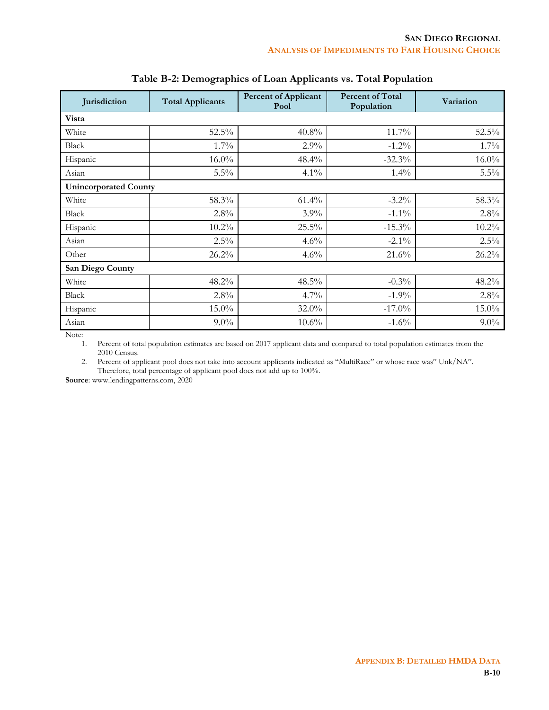| Jurisdiction                 | <b>Total Applicants</b> | <b>Percent of Applicant</b><br>Pool | <b>Percent of Total</b><br>Population | Variation |  |  |  |
|------------------------------|-------------------------|-------------------------------------|---------------------------------------|-----------|--|--|--|
| Vista                        |                         |                                     |                                       |           |  |  |  |
| White                        | 52.5%                   | 40.8%                               | 11.7%                                 | 52.5%     |  |  |  |
| Black                        | $1.7\%$                 | 2.9%                                | $-1.2%$                               | $1.7\%$   |  |  |  |
| Hispanic                     | $16.0\%$                | 48.4%                               | $-32.3%$                              | $16.0\%$  |  |  |  |
| Asian                        | $5.5\%$                 | $4.1\%$                             | $1.4\%$                               | $5.5\%$   |  |  |  |
| <b>Unincorporated County</b> |                         |                                     |                                       |           |  |  |  |
| White                        | 58.3%                   | $61.4\%$                            | $-3.2\%$                              | 58.3%     |  |  |  |
| Black                        | 2.8%                    | $3.9\%$                             | $-1.1\%$                              | 2.8%      |  |  |  |
| Hispanic                     | 10.2%                   | 25.5%                               | $-15.3%$                              | 10.2%     |  |  |  |
| Asian                        | $2.5\%$                 | 4.6%                                | $-2.1\%$                              | $2.5\%$   |  |  |  |
| Other                        | 26.2%                   | 4.6%                                | 21.6%                                 | 26.2%     |  |  |  |
| San Diego County             |                         |                                     |                                       |           |  |  |  |
| White                        | 48.2%                   | 48.5%                               | $-0.3%$                               | 48.2%     |  |  |  |
| Black                        | 2.8%                    | $4.7\%$                             | $-1.9%$                               | 2.8%      |  |  |  |
| Hispanic                     | 15.0%                   | 32.0%                               | $-17.0\%$                             | 15.0%     |  |  |  |
| Asian                        | $9.0\%$                 | $10.6\%$                            | $-1.6%$                               | $9.0\%$   |  |  |  |

#### **Table B-2: Demographics of Loan Applicants vs. Total Population**

Note:

1. Percent of total population estimates are based on 2017 applicant data and compared to total population estimates from the 2010 Census.

2. Percent of applicant pool does not take into account applicants indicated as "MultiRace" or whose race was" Unk/NA". Therefore, total percentage of applicant pool does not add up to 100%.

**Source**: www.lendingpatterns.com, 2020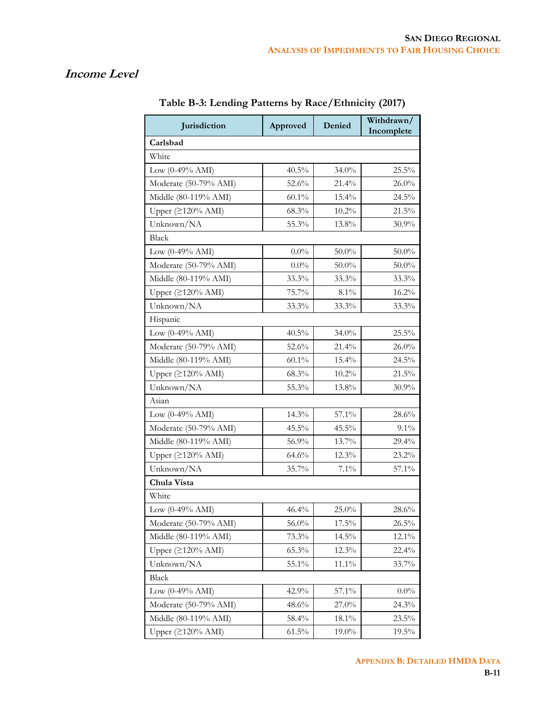## **Income Level**

| Jurisdiction                 | Approved | Denied   | Withdrawn/<br>Incomplete |
|------------------------------|----------|----------|--------------------------|
| Carlsbad                     |          |          |                          |
| White                        |          |          |                          |
| Low $(0-49% AMI)$            | $40.5\%$ | 34.0%    | 25.5%                    |
| Moderate (50-79% AMI)        | 52.6%    | 21.4%    | 26.0%                    |
| Middle (80-119% AMI)         | $60.1\%$ | 15.4%    | 24.5%                    |
| Upper (≥120% AMI)            | 68.3%    | 10.2%    | 21.5%                    |
| Unknown/NA                   | 55.3%    | 13.8%    | 30.9%                    |
| <b>Black</b>                 |          |          |                          |
| Low $(0-49\% \text{ AMI})$   | $0.0\%$  | $50.0\%$ | $50.0\%$                 |
| Moderate (50-79% AMI)        | $0.0\%$  | 50.0%    | $50.0\%$                 |
| Middle (80-119% AMI)         | 33.3%    | 33.3%    | 33.3%                    |
| Upper (≥120% AMI)            | 75.7%    | $8.1\%$  | 16.2%                    |
| Unknown/NA                   | 33.3%    | 33.3%    | 33.3%                    |
| Hispanic                     |          |          |                          |
| Low $(0-49\% \text{ AMI})$   | 40.5%    | 34.0%    | 25.5%                    |
| Moderate (50-79% AMI)        | 52.6%    | 21.4%    | 26.0%                    |
| Middle (80-119% AMI)         | $60.1\%$ | 15.4%    | 24.5%                    |
| Upper (≥120% AMI)            | 68.3%    | $10.2\%$ | 21.5%                    |
| Unknown/NA                   | 55.3%    | 13.8%    | $30.9\%$                 |
| Asian                        |          |          |                          |
| Low $(0-49\% \text{ AMI})$   | 14.3%    | $57.1\%$ | 28.6%                    |
| Moderate (50-79% AMI)        | 45.5%    | 45.5%    | $9.1\%$                  |
| Middle (80-119% AMI)         | 56.9%    | 13.7%    | 29.4%                    |
| Upper $(2120\% \text{ AMI})$ | 64.6%    | 12.3%    | 23.2%                    |
| Unknown/NA                   | 35.7%    | 7.1%     | 57.1%                    |
| Chula Vista                  |          |          |                          |
| White                        |          |          |                          |
| Low $(0-49\% \text{ AMI})$   | 46.4%    | 25.0%    | 28.6%                    |
| Moderate (50-79% AMI)        | 56.0%    | 17.5%    | 26.5%                    |
| Middle (80-119% AMI)         | 73.3%    | 14.5%    | 12.1%                    |
| Upper $( \geq 120\%$ AMI)    | 65.3%    | 12.3%    | 22.4%                    |
| Unknown/NA                   | 55.1%    | 11.1%    | 33.7%                    |
| Black                        |          |          |                          |
| Low $(0-49\% \text{ AMI})$   | 42.9%    | 57.1%    | $0.0\%$                  |
| Moderate (50-79% AMI)        | 48.6%    | 27.0%    | 24.3%                    |
| Middle (80-119% AMI)         | 58.4%    | 18.1%    | 23.5%                    |
| Upper $(2120\% \text{ AMI})$ | $61.5\%$ | 19.0%    | $19.5\%$                 |

**Table B-3: Lending Patterns by Race/Ethnicity (2017)**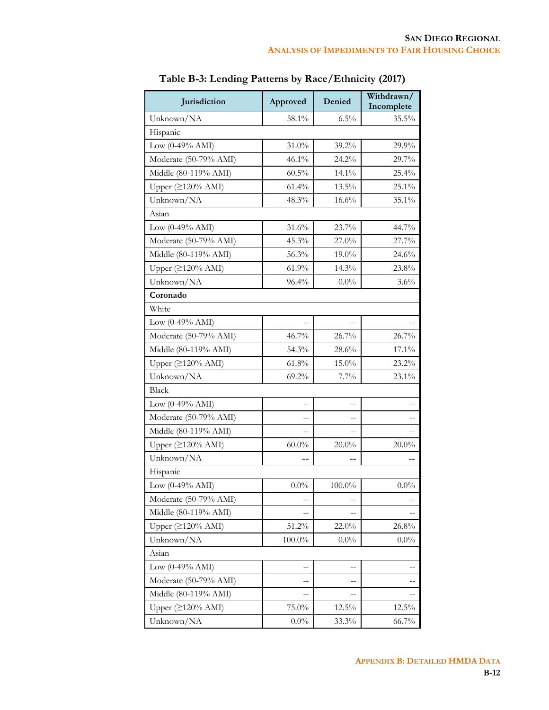| Jurisdiction               | Approved       | Denied   | Withdrawn/<br>Incomplete |
|----------------------------|----------------|----------|--------------------------|
| Unknown/NA                 | 58.1%          | 6.5%     | 35.5%                    |
| Hispanic                   |                |          |                          |
| Low $(0-49% \text{ AMI})$  | $31.0\%$       | 39.2%    | 29.9%                    |
| Moderate (50-79% AMI)      | 46.1%          | 24.2%    | 29.7%                    |
| Middle (80-119% AMI)       | $60.5\%$       | 14.1%    | 25.4%                    |
| Upper $(2120%$ AMI)        | 61.4%          | 13.5%    | 25.1%                    |
| Unknown/NA                 | 48.3%          | 16.6%    | 35.1%                    |
| Asian                      |                |          |                          |
| Low $(0-49\% \text{ AMI})$ | 31.6%          | 23.7%    | 44.7%                    |
| Moderate (50-79% AMI)      | 45.3%          | 27.0%    | 27.7%                    |
| Middle (80-119% AMI)       | 56.3%          | 19.0%    | 24.6%                    |
| Upper (≥120% AMI)          | 61.9%          | 14.3%    | 23.8%                    |
| Unknown/NA                 | 96.4%          | $0.0\%$  | 3.6%                     |
| Coronado                   |                |          |                          |
| White                      |                |          |                          |
| Low $(0-49\% \text{ AMI})$ | $\overline{a}$ |          |                          |
| Moderate (50-79% AMI)      | 46.7%          | 26.7%    | 26.7%                    |
| Middle (80-119% AMI)       | 54.3%          | 28.6%    | 17.1%                    |
| Upper (≥120% AMI)          | 61.8%          | 15.0%    | 23.2%                    |
| Unknown/NA                 | 69.2%          | 7.7%     | 23.1%                    |
| <b>Black</b>               |                |          |                          |
| Low $(0-49\% \text{ AMI})$ |                |          |                          |
| Moderate (50-79% AMI)      |                |          |                          |
| Middle (80-119% AMI)       |                |          |                          |
| Upper $(2120%$ AMI)        | $60.0\%$       | $20.0\%$ | $20.0\%$                 |
| Unknown/NA                 |                |          |                          |
| Hispanic                   |                |          |                          |
| Low $(0-49\% \text{ AMI})$ | $0.0\%$        | 100.0%   | $0.0\%$                  |
| Moderate (50-79% AMI)      |                |          |                          |
| Middle (80-119% AMI)       | --             |          |                          |
| Upper $(2120% AMI)$        | 51.2%          | 22.0%    | 26.8%                    |
| Unknown/NA                 | $100.0\%$      | $0.0\%$  | $0.0\%$                  |
| Asian                      |                |          |                          |
| Low $(0-49% \text{ AMI})$  | --             |          |                          |
| Moderate (50-79% AMI)      |                |          |                          |
| Middle (80-119% AMI)       | ÷              |          |                          |
| Upper $(\geq 120\%$ AMI)   | 75.0%          | $12.5\%$ | 12.5%                    |
| Unknown/NA                 | $0.0\%$        | 33.3%    | 66.7%                    |

| Table B-3: Lending Patterns by Race/Ethnicity (2017) |  |  |  |
|------------------------------------------------------|--|--|--|
|------------------------------------------------------|--|--|--|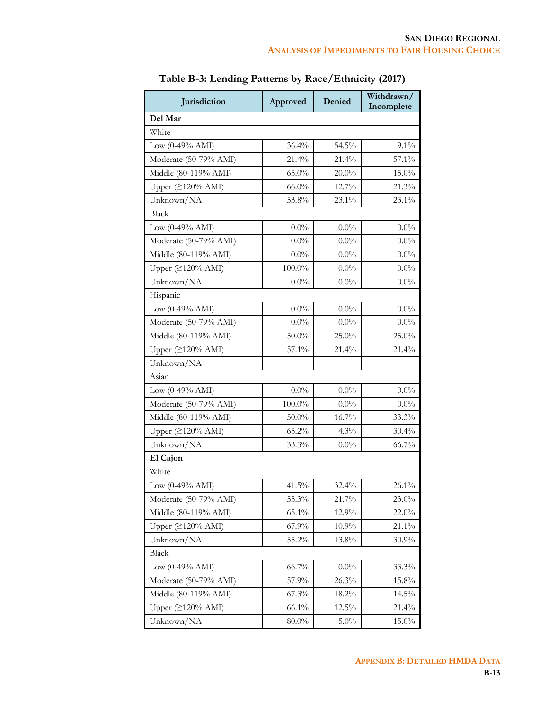| Jurisdiction                      | Approved  | Denied   | Withdrawn/<br>Incomplete |
|-----------------------------------|-----------|----------|--------------------------|
| Del Mar                           |           |          |                          |
| White                             |           |          |                          |
| Low $(0-49\% \text{ AMI})$        | 36.4%     | 54.5%    | 9.1%                     |
| Moderate (50-79% AMI)             | 21.4%     | 21.4%    | $57.1\%$                 |
| Middle (80-119% AMI)              | $65.0\%$  | $20.0\%$ | $15.0\%$                 |
| Upper (≥120% AMI)                 | $66.0\%$  | 12.7%    | 21.3%                    |
| Unknown/NA                        | 53.8%     | 23.1%    | 23.1%                    |
| <b>Black</b>                      |           |          |                          |
| Low $(0-49\% \text{ AMI})$        | $0.0\%$   | $0.0\%$  | $0.0\%$                  |
| Moderate (50-79% AMI)             | $0.0\%$   | $0.0\%$  | $0.0\%$                  |
| Middle (80-119% AMI)              | $0.0\%$   | $0.0\%$  | $0.0\%$                  |
| Upper $(2120\% \text{ AMI})$      | 100.0%    | $0.0\%$  | $0.0\%$                  |
| Unknown/NA                        | $0.0\%$   | $0.0\%$  | $0.0\%$                  |
| Hispanic                          |           |          |                          |
| Low $(0-49\% \text{ AMI})$        | $0.0\%$   | $0.0\%$  | $0.0\%$                  |
| Moderate (50-79% AMI)             | $0.0\%$   | $0.0\%$  | $0.0\%$                  |
| Middle (80-119% AMI)              | $50.0\%$  | $25.0\%$ | 25.0%                    |
| Upper $(2120%$ AMI)               | $57.1\%$  | 21.4%    | 21.4%                    |
| Unknown/NA                        |           |          |                          |
| Asian                             |           |          |                          |
| Low (0-49% AMI)                   | $0.0\%$   | $0.0\%$  | $0.0\%$                  |
| Moderate (50-79% AMI)             | $100.0\%$ | $0.0\%$  | $0.0\%$                  |
| Middle (80-119% AMI)              | $50.0\%$  | 16.7%    | 33.3%                    |
| Upper (≥120% AMI)                 | 65.2%     | $4.3\%$  | 30.4%                    |
| Unknown/NA                        | 33.3%     | $0.0\%$  | 66.7%                    |
| El Cajon                          |           |          |                          |
| White                             |           |          |                          |
| Low $(0-49% \text{ AMI})$         | 41.5%     | 32.4%    | 26.1%                    |
| Moderate (50-79% AMI)             | 55.3%     | $21.7\%$ | 23.0%                    |
| Middle (80-119% AMI)              | 65.1%     | 12.9%    | 22.0%                    |
| Upper $( \geq 120\% \text{ AMI})$ | 67.9%     | $10.9\%$ | 21.1%                    |
| Unknown/NA                        | 55.2%     | 13.8%    | 30.9%                    |
| <b>Black</b>                      |           |          |                          |
| Low $(0-49% \text{ AMI})$         | 66.7%     | $0.0\%$  | 33.3%                    |
| Moderate (50-79% AMI)             | 57.9%     | 26.3%    | 15.8%                    |
| Middle (80-119% AMI)              | 67.3%     | 18.2%    | 14.5%                    |
| Upper $(≥120%$ AMI)               | $66.1\%$  | 12.5%    | 21.4%                    |
| Unknown/NA                        | $80.0\%$  | $5.0\%$  | 15.0%                    |

**Table B-3: Lending Patterns by Race/Ethnicity (2017)**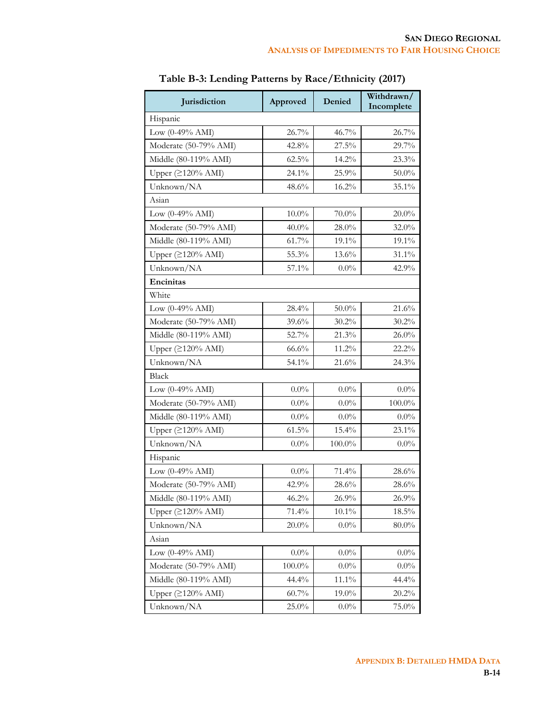| Jurisdiction                 | Approved  | Denied   | Withdrawn/<br>Incomplete |
|------------------------------|-----------|----------|--------------------------|
| Hispanic                     |           |          |                          |
| Low $(0-49\% \text{ AMI})$   | 26.7%     | 46.7%    | 26.7%                    |
| Moderate (50-79% AMI)        | 42.8%     | 27.5%    | 29.7%                    |
| Middle (80-119% AMI)         | $62.5\%$  | 14.2%    | 23.3%                    |
| Upper (≥120% AMI)            | 24.1%     | 25.9%    | $50.0\%$                 |
| Unknown/NA                   | 48.6%     | 16.2%    | 35.1%                    |
| Asian                        |           |          |                          |
| Low $(0-49\% \text{ AMI})$   | $10.0\%$  | $70.0\%$ | $20.0\%$                 |
| Moderate (50-79% AMI)        | $40.0\%$  | $28.0\%$ | 32.0%                    |
| Middle (80-119% AMI)         | 61.7%     | 19.1%    | 19.1%                    |
| Upper $(2120\% \text{ AMI})$ | 55.3%     | 13.6%    | 31.1%                    |
| Unknown/NA                   | 57.1%     | $0.0\%$  | 42.9%                    |
| Encinitas                    |           |          |                          |
| White                        |           |          |                          |
| Low $(0-49\% \text{ AMI})$   | 28.4%     | 50.0%    | 21.6%                    |
| Moderate (50-79% AMI)        | 39.6%     | 30.2%    | 30.2%                    |
| Middle (80-119% AMI)         | 52.7%     | 21.3%    | $26.0\%$                 |
| Upper (≥120% AMI)            | 66.6%     | 11.2%    | 22.2%                    |
| Unknown/NA                   | 54.1%     | 21.6%    | 24.3%                    |
| <b>Black</b>                 |           |          |                          |
| Low $(0-49\% \text{ AMI})$   | $0.0\%$   | $0.0\%$  | $0.0\%$                  |
| Moderate (50-79% AMI)        | $0.0\%$   | $0.0\%$  | $100.0\%$                |
| Middle (80-119% AMI)         | $0.0\%$   | $0.0\%$  | $0.0\%$                  |
| Upper (≥120% AMI)            | $61.5\%$  | 15.4%    | 23.1%                    |
| Unknown/NA                   | $0.0\%$   | 100.0%   | $0.0\%$                  |
| Hispanic                     |           |          |                          |
| Low $(0-49\% \text{ AMI})$   | $0.0\%$   | 71.4%    | $28.6\%$                 |
| Moderate (50-79% AMI)        | 42.9%     | 28.6%    | 28.6%                    |
| Middle (80-119% AMI)         | 46.2%     | 26.9%    | 26.9%                    |
| Upper $(2120\% \text{ AMI})$ | 71.4%     | $10.1\%$ | $18.5\%$                 |
| Unknown/NA                   | $20.0\%$  | $0.0\%$  | $80.0\%$                 |
| Asian                        |           |          |                          |
| Low $(0-49\% \text{ AMI})$   | $0.0\%$   | $0.0\%$  | $0.0\%$                  |
| Moderate (50-79% AMI)        | $100.0\%$ | $0.0\%$  | $0.0\%$                  |
| Middle (80-119% AMI)         | 44.4%     | $11.1\%$ | 44.4%                    |
| Upper $(\geq 120\%$ AMI)     | $60.7\%$  | 19.0%    | $20.2\%$                 |
| Unknown/NA                   | 25.0%     | $0.0\%$  | 75.0%                    |

| Table B-3: Lending Patterns by Race/Ethnicity (2017) |  |  |  |
|------------------------------------------------------|--|--|--|
|------------------------------------------------------|--|--|--|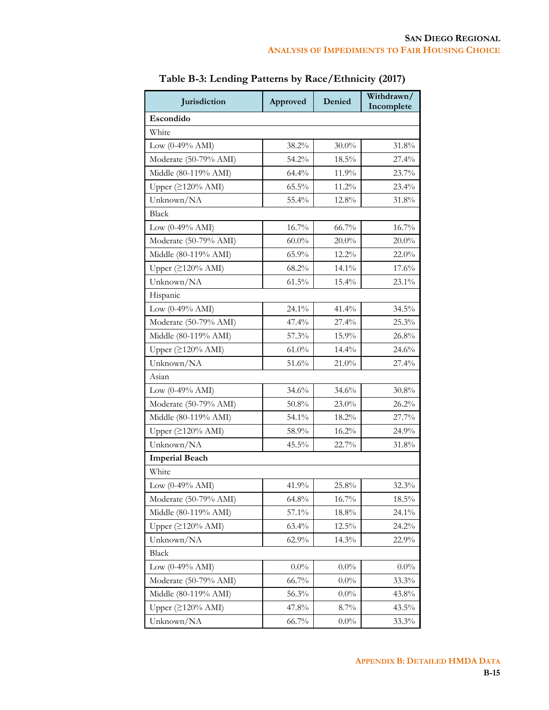| Jurisdiction                 | Approved | Denied   | Withdrawn/<br>Incomplete |
|------------------------------|----------|----------|--------------------------|
| Escondido                    |          |          |                          |
| White                        |          |          |                          |
| Low $(0-49\% \text{ AMI})$   | 38.2%    | $30.0\%$ | 31.8%                    |
| Moderate (50-79% AMI)        | 54.2%    | $18.5\%$ | 27.4%                    |
| Middle (80-119% AMI)         | 64.4%    | 11.9%    | 23.7%                    |
| Upper $(2120%$ AMI)          | 65.5%    | 11.2%    | 23.4%                    |
| Unknown/NA                   | 55.4%    | 12.8%    | 31.8%                    |
| <b>Black</b>                 |          |          |                          |
| Low (0-49% AMI)              | 16.7%    | 66.7%    | 16.7%                    |
| Moderate (50-79% AMI)        | $60.0\%$ | $20.0\%$ | $20.0\%$                 |
| Middle (80-119% AMI)         | 65.9%    | 12.2%    | 22.0%                    |
| Upper $(2120%$ AMI)          | 68.2%    | 14.1%    | 17.6%                    |
| Unknown/NA                   | $61.5\%$ | 15.4%    | 23.1%                    |
| Hispanic                     |          |          |                          |
| Low $(0-49\% \text{ AMI})$   | 24.1%    | 41.4%    | 34.5%                    |
| Moderate (50-79% AMI)        | 47.4%    | 27.4%    | 25.3%                    |
| Middle (80-119% AMI)         | 57.3%    | 15.9%    | 26.8%                    |
| Upper $(≥120% AMI)$          | $61.0\%$ | 14.4%    | 24.6%                    |
| Unknown/NA                   | 51.6%    | 21.0%    | 27.4%                    |
| Asian                        |          |          |                          |
| Low $(0-49% \text{ AMI})$    | 34.6%    | 34.6%    | $30.8\%$                 |
| Moderate (50-79% AMI)        | $50.8\%$ | 23.0%    | 26.2%                    |
| Middle (80-119% AMI)         | 54.1%    | $18.2\%$ | 27.7%                    |
| Upper $(2120\% \text{ AMI})$ | 58.9%    | $16.2\%$ | 24.9%                    |
| Unknown/NA                   | 45.5%    | 22.7%    | 31.8%                    |
| <b>Imperial Beach</b>        |          |          |                          |
| White                        |          |          |                          |
| Low $(0-49\% \text{ AMI})$   | 41.9%    | 25.8%    | 32.3%                    |
| Moderate (50-79% AMI)        | 64.8%    | $16.7\%$ | 18.5%                    |
| Middle (80-119% AMI)         | $57.1\%$ | 18.8%    | 24.1%                    |
| Upper (≥120% AMI)            | 63.4%    | 12.5%    | 24.2%                    |
| Unknown/NA                   | 62.9%    | 14.3%    | 22.9%                    |
| Black                        |          |          |                          |
| Low $(0-49\% \text{ AMI})$   | $0.0\%$  | $0.0\%$  | $0.0\%$                  |
| Moderate (50-79% AMI)        | 66.7%    | $0.0\%$  | 33.3%                    |
| Middle (80-119% AMI)         | 56.3%    | $0.0\%$  | 43.8%                    |
| Upper $(2120\% \text{ AMI})$ | 47.8%    | $8.7\%$  | 43.5%                    |
| Unknown/NA                   | 66.7%    | $0.0\%$  | 33.3%                    |

**Table B-3: Lending Patterns by Race/Ethnicity (2017)**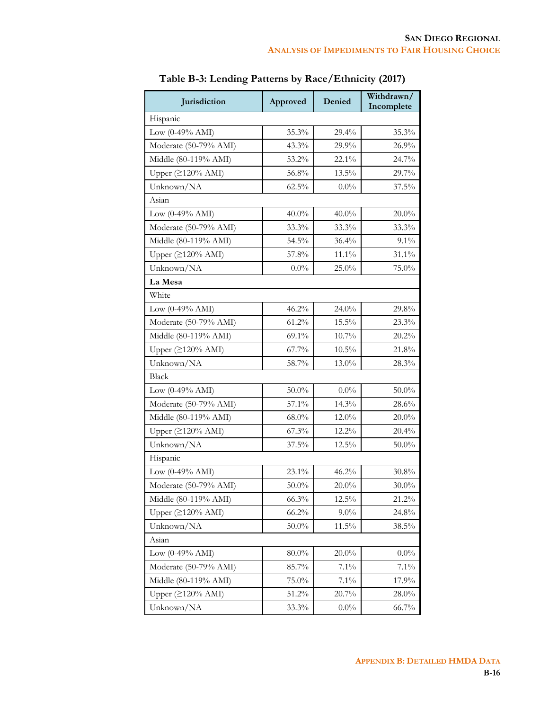| Jurisdiction                 | Approved | Denied   | Withdrawn/<br>Incomplete |
|------------------------------|----------|----------|--------------------------|
| Hispanic                     |          |          |                          |
| Low $(0-49\% \text{ AMI})$   | $35.3\%$ | 29.4%    | 35.3%                    |
| Moderate (50-79% AMI)        | 43.3%    | 29.9%    | 26.9%                    |
| Middle (80-119% AMI)         | 53.2%    | 22.1%    | 24.7%                    |
| Upper (≥120% AMI)            | 56.8%    | 13.5%    | 29.7%                    |
| Unknown/NA                   | $62.5\%$ | $0.0\%$  | 37.5%                    |
| Asian                        |          |          |                          |
| Low $(0-49\% \text{ AMI})$   | $40.0\%$ | 40.0%    | $20.0\%$                 |
| Moderate (50-79% AMI)        | 33.3%    | 33.3%    | 33.3%                    |
| Middle (80-119% AMI)         | 54.5%    | 36.4%    | 9.1%                     |
| Upper $(2120\% \text{ AMI})$ | 57.8%    | 11.1%    | 31.1%                    |
| Unknown/NA                   | $0.0\%$  | 25.0%    | 75.0%                    |
| La Mesa                      |          |          |                          |
| White                        |          |          |                          |
| Low (0-49% AMI)              | 46.2%    | 24.0%    | 29.8%                    |
| Moderate (50-79% AMI)        | 61.2%    | 15.5%    | 23.3%                    |
| Middle (80-119% AMI)         | 69.1%    | 10.7%    | 20.2%                    |
| Upper (≥120% AMI)            | 67.7%    | $10.5\%$ | 21.8%                    |
| Unknown/NA                   | 58.7%    | 13.0%    | 28.3%                    |
| Black                        |          |          |                          |
| Low $(0-49\% \text{ AMI})$   | $50.0\%$ | $0.0\%$  | $50.0\%$                 |
| Moderate (50-79% AMI)        | 57.1%    | 14.3%    | 28.6%                    |
| Middle (80-119% AMI)         | $68.0\%$ | 12.0%    | $20.0\%$                 |
| Upper (≥120% AMI)            | $67.3\%$ | 12.2%    | 20.4%                    |
| Unknown/NA                   | 37.5%    | 12.5%    | $50.0\%$                 |
| Hispanic                     |          |          |                          |
| Low $(0-49\% \text{ AMI})$   | 23.1%    | 46.2%    | $30.8\%$                 |
| Moderate (50-79% AMI)        | $50.0\%$ | $20.0\%$ | $30.0\%$                 |
| Middle (80-119% AMI)         | 66.3%    | 12.5%    | 21.2%                    |
| Upper $(2120\% \text{ AMI})$ | 66.2%    | $9.0\%$  | 24.8%                    |
| Unknown/NA                   | $50.0\%$ | 11.5%    | 38.5%                    |
| Asian                        |          |          |                          |
| Low $(0-49\% \text{ AMI})$   | $80.0\%$ | $20.0\%$ | $0.0\%$                  |
| Moderate (50-79% AMI)        | 85.7%    | $7.1\%$  | 7.1%                     |
| Middle (80-119% AMI)         | 75.0%    | $7.1\%$  | 17.9%                    |
| Upper $( \geq 120\%$ AMI)    | 51.2%    | 20.7%    | $28.0\%$                 |
| Unknown/NA                   | 33.3%    | $0.0\%$  | 66.7%                    |

| Table B-3: Lending Patterns by Race/Ethnicity (2017) |  |  |  |
|------------------------------------------------------|--|--|--|
|------------------------------------------------------|--|--|--|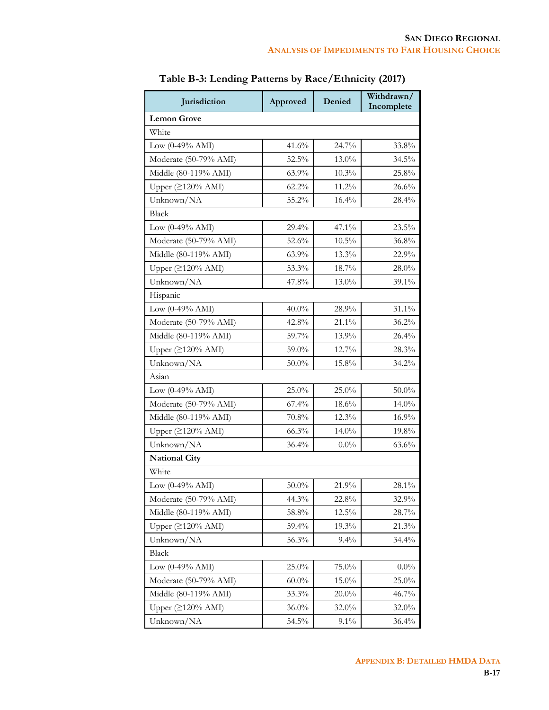| Jurisdiction                 | Approved | Denied   | Withdrawn/<br>Incomplete |
|------------------------------|----------|----------|--------------------------|
| <b>Lemon Grove</b>           |          |          |                          |
| White                        |          |          |                          |
| Low $(0-49\% \text{ AMI})$   | 41.6%    | 24.7%    | 33.8%                    |
| Moderate (50-79% AMI)        | 52.5%    | 13.0%    | 34.5%                    |
| Middle (80-119% AMI)         | 63.9%    | 10.3%    | 25.8%                    |
| Upper $(2120%$ AMI)          | 62.2%    | 11.2%    | 26.6%                    |
| Unknown/NA                   | 55.2%    | 16.4%    | 28.4%                    |
| <b>Black</b>                 |          |          |                          |
| Low (0-49% AMI)              | 29.4%    | 47.1%    | 23.5%                    |
| Moderate (50-79% AMI)        | 52.6%    | $10.5\%$ | 36.8%                    |
| Middle (80-119% AMI)         | 63.9%    | 13.3%    | 22.9%                    |
| Upper $(2120%$ AMI)          | 53.3%    | 18.7%    | $28.0\%$                 |
| Unknown/NA                   | 47.8%    | 13.0%    | 39.1%                    |
| Hispanic                     |          |          |                          |
| Low $(0-49% \text{ AMI})$    | $40.0\%$ | 28.9%    | 31.1%                    |
| Moderate (50-79% AMI)        | 42.8%    | 21.1%    | 36.2%                    |
| Middle (80-119% AMI)         | 59.7%    | 13.9%    | $26.4\%$                 |
| Upper $(≥120% AMI)$          | 59.0%    | 12.7%    | 28.3%                    |
| Unknown/NA                   | $50.0\%$ | 15.8%    | 34.2%                    |
| Asian                        |          |          |                          |
| Low $(0-49% \text{ AMI})$    | $25.0\%$ | $25.0\%$ | $50.0\%$                 |
| Moderate (50-79% AMI)        | 67.4%    | 18.6%    | 14.0%                    |
| Middle (80-119% AMI)         | 70.8%    | $12.3\%$ | 16.9%                    |
| Upper $(2120\% \text{ AMI})$ | 66.3%    | 14.0%    | 19.8%                    |
| Unknown/NA                   | 36.4%    | $0.0\%$  | 63.6%                    |
| <b>National City</b>         |          |          |                          |
| White                        |          |          |                          |
| Low $(0-49\% \text{ AMI})$   | $50.0\%$ | 21.9%    | 28.1%                    |
| Moderate (50-79% AMI)        | 44.3%    | 22.8%    | 32.9%                    |
| Middle (80-119% AMI)         | $58.8\%$ | $12.5\%$ | 28.7%                    |
| Upper (≥120% AMI)            | 59.4%    | 19.3%    | 21.3%                    |
| Unknown/NA                   | 56.3%    | 9.4%     | 34.4%                    |
| Black                        |          |          |                          |
| Low $(0-49% \text{ AMI})$    | 25.0%    | 75.0%    | $0.0\%$                  |
| Moderate (50-79% AMI)        | $60.0\%$ | 15.0%    | 25.0%                    |
| Middle (80-119% AMI)         | 33.3%    | 20.0%    | 46.7%                    |
| Upper $(2120\% \text{ AMI})$ | $36.0\%$ | 32.0%    | 32.0%                    |
| Unknown/NA                   | 54.5%    | $9.1\%$  | 36.4%                    |

**Table B-3: Lending Patterns by Race/Ethnicity (2017)**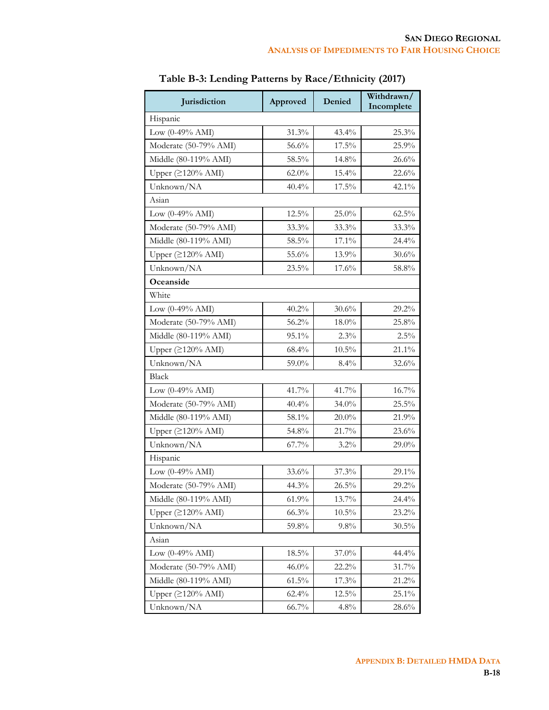| Jurisdiction                 | Approved | Denied   | Withdrawn/<br>Incomplete |
|------------------------------|----------|----------|--------------------------|
| Hispanic                     |          |          |                          |
| Low $(0-49\% \text{ AMI})$   | 31.3%    | 43.4%    | 25.3%                    |
| Moderate (50-79% AMI)        | 56.6%    | 17.5%    | 25.9%                    |
| Middle (80-119% AMI)         | 58.5%    | 14.8%    | 26.6%                    |
| Upper (≥120% AMI)            | $62.0\%$ | 15.4%    | 22.6%                    |
| Unknown/NA                   | 40.4%    | 17.5%    | 42.1%                    |
| Asian                        |          |          |                          |
| Low $(0-49\% \text{ AMI})$   | 12.5%    | 25.0%    | 62.5%                    |
| Moderate (50-79% AMI)        | $33.3\%$ | 33.3%    | 33.3%                    |
| Middle (80-119% AMI)         | 58.5%    | 17.1%    | 24.4%                    |
| Upper $(2120\% \text{ AMI})$ | 55.6%    | 13.9%    | 30.6%                    |
| Unknown/NA                   | 23.5%    | 17.6%    | 58.8%                    |
| Oceanside                    |          |          |                          |
| White                        |          |          |                          |
| Low $(0-49\% \text{ AMI})$   | 40.2%    | 30.6%    | 29.2%                    |
| Moderate (50-79% AMI)        | 56.2%    | $18.0\%$ | 25.8%                    |
| Middle (80-119% AMI)         | 95.1%    | 2.3%     | $2.5\%$                  |
| Upper (≥120% AMI)            | 68.4%    | $10.5\%$ | 21.1%                    |
| Unknown/NA                   | 59.0%    | $8.4\%$  | 32.6%                    |
| <b>Black</b>                 |          |          |                          |
| Low $(0-49\% \text{ AMI})$   | 41.7%    | 41.7%    | 16.7%                    |
| Moderate (50-79% AMI)        | 40.4%    | 34.0%    | 25.5%                    |
| Middle (80-119% AMI)         | 58.1%    | $20.0\%$ | 21.9%                    |
| Upper (≥120% AMI)            | 54.8%    | 21.7%    | 23.6%                    |
| Unknown/NA                   | 67.7%    | $3.2\%$  | 29.0%                    |
| Hispanic                     |          |          |                          |
| Low (0-49% AMI)              | $33.6\%$ | 37.3%    | 29.1%                    |
| Moderate (50-79% AMI)        | 44.3%    | $26.5\%$ | 29.2%                    |
| Middle (80-119% AMI)         | 61.9%    | 13.7%    | 24.4%                    |
| Upper $(2120\% \text{ AMI})$ | 66.3%    | $10.5\%$ | 23.2%                    |
| Unknown/NA                   | 59.8%    | 9.8%     | 30.5%                    |
| Asian                        |          |          |                          |
| Low $(0-49\% \text{ AMI})$   | $18.5\%$ | 37.0%    | 44.4%                    |
| Moderate (50-79% AMI)        | $46.0\%$ | 22.2%    | 31.7%                    |
| Middle (80-119% AMI)         | $61.5\%$ | 17.3%    | 21.2%                    |
| Upper $(\geq 120\%$ AMI)     | $62.4\%$ | 12.5%    | 25.1%                    |
| Unknown/NA                   | 66.7%    | 4.8%     | $28.6\%$                 |

**Table B-3: Lending Patterns by Race/Ethnicity (2017)**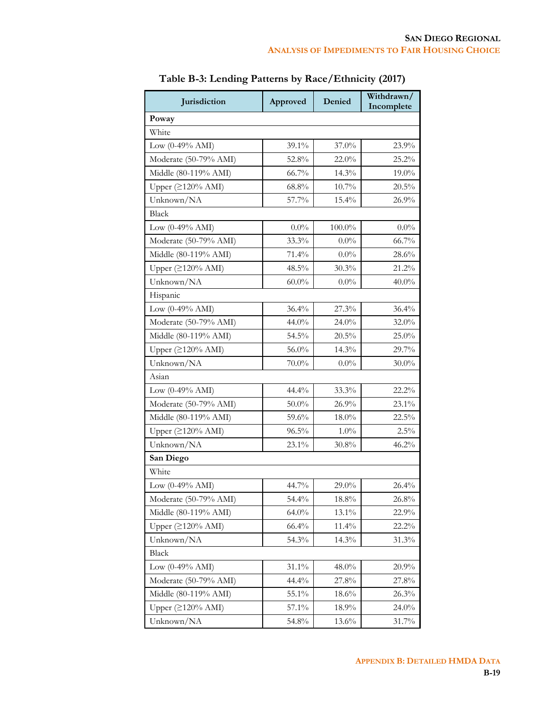| Jurisdiction                      | Approved | Denied   | Withdrawn/<br>Incomplete |
|-----------------------------------|----------|----------|--------------------------|
| Poway                             |          |          |                          |
| White                             |          |          |                          |
| Low (0-49% AMI)                   | 39.1%    | 37.0%    | 23.9%                    |
| Moderate (50-79% AMI)             | 52.8%    | 22.0%    | 25.2%                    |
| Middle (80-119% AMI)              | 66.7%    | 14.3%    | $19.0\%$                 |
| Upper (≥120% AMI)                 | 68.8%    | $10.7\%$ | 20.5%                    |
| Unknown/NA                        | 57.7%    | 15.4%    | 26.9%                    |
| <b>Black</b>                      |          |          |                          |
| Low $(0-49\% \text{ AMI})$        | $0.0\%$  | 100.0%   | $0.0\%$                  |
| Moderate (50-79% AMI)             | 33.3%    | $0.0\%$  | 66.7%                    |
| Middle (80-119% AMI)              | 71.4%    | $0.0\%$  | 28.6%                    |
| Upper $(2120% AMI)$               | 48.5%    | 30.3%    | 21.2%                    |
| Unknown/NA                        | $60.0\%$ | $0.0\%$  | $40.0\%$                 |
| Hispanic                          |          |          |                          |
| Low (0-49% AMI)                   | 36.4%    | 27.3%    | $36.4\%$                 |
| Moderate (50-79% AMI)             | 44.0%    | 24.0%    | 32.0%                    |
| Middle (80-119% AMI)              | 54.5%    | 20.5%    | 25.0%                    |
| Upper $(2120% AMI)$               | 56.0%    | 14.3%    | 29.7%                    |
| Unknown/NA                        | $70.0\%$ | $0.0\%$  | $30.0\%$                 |
| Asian                             |          |          |                          |
| Low (0-49% AMI)                   | 44.4%    | 33.3%    | 22.2%                    |
| Moderate (50-79% AMI)             | $50.0\%$ | 26.9%    | 23.1%                    |
| Middle (80-119% AMI)              | 59.6%    | $18.0\%$ | 22.5%                    |
| Upper (≥120% AMI)                 | $96.5\%$ | $1.0\%$  | $2.5\%$                  |
| Unknown/NA                        | 23.1%    | 30.8%    | 46.2%                    |
| San Diego                         |          |          |                          |
| White                             |          |          |                          |
| Low $(0-49% \text{ AMI})$         | 44.7%    | 29.0%    | 26.4%                    |
| Moderate (50-79% AMI)             | 54.4%    | $18.8\%$ | 26.8%                    |
| Middle (80-119% AMI)              | 64.0%    | 13.1%    | 22.9%                    |
| Upper $( \geq 120\% \text{ AMI})$ | 66.4%    | 11.4%    | 22.2%                    |
| Unknown/NA                        | 54.3%    | 14.3%    | 31.3%                    |
| <b>Black</b>                      |          |          |                          |
| Low $(0-49% \text{ AMI})$         | 31.1%    | 48.0%    | 20.9%                    |
| Moderate (50-79% AMI)             | 44.4%    | 27.8%    | 27.8%                    |
| Middle (80-119% AMI)              | 55.1%    | 18.6%    | $26.3\%$                 |
| Upper $(2120%$ AMI)               | $57.1\%$ | 18.9%    | 24.0%                    |
| Unknown/NA                        | 54.8%    | 13.6%    | 31.7%                    |

**Table B-3: Lending Patterns by Race/Ethnicity (2017)**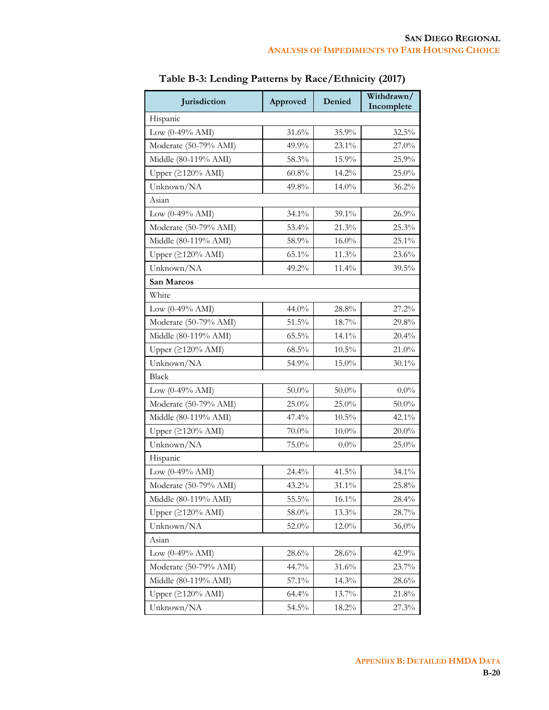| Jurisdiction                 | Approved | Denied   | Withdrawn/<br>Incomplete |
|------------------------------|----------|----------|--------------------------|
| Hispanic                     |          |          |                          |
| Low $(0-49\% \text{ AMI})$   | 31.6%    | 35.9%    | 32.5%                    |
| Moderate (50-79% AMI)        | 49.9%    | 23.1%    | 27.0%                    |
| Middle (80-119% AMI)         | 58.3%    | 15.9%    | 25.9%                    |
| Upper (≥120% AMI)            | $60.8\%$ | 14.2%    | 25.0%                    |
| Unknown/NA                   | 49.8%    | 14.0%    | 36.2%                    |
| Asian                        |          |          |                          |
| Low $(0-49\% \text{ AMI})$   | 34.1%    | 39.1%    | 26.9%                    |
| Moderate (50-79% AMI)        | 53.4%    | 21.3%    | 25.3%                    |
| Middle (80-119% AMI)         | 58.9%    | $16.0\%$ | 25.1%                    |
| Upper $(2120\% \text{ AMI})$ | 65.1%    | 11.3%    | 23.6%                    |
| Unknown/NA                   | 49.2%    | 11.4%    | 39.5%                    |
| San Marcos                   |          |          |                          |
| White                        |          |          |                          |
| Low $(0-49\% \text{ AMI})$   | 44.0%    | 28.8%    | 27.2%                    |
| Moderate (50-79% AMI)        | 51.5%    | $18.7\%$ | 29.8%                    |
| Middle (80-119% AMI)         | $65.5\%$ | 14.1%    | 20.4%                    |
| Upper (≥120% AMI)            | $68.5\%$ | $10.5\%$ | 21.0%                    |
| Unknown/NA                   | 54.9%    | 15.0%    | $30.1\%$                 |
| <b>Black</b>                 |          |          |                          |
| Low $(0-49\% \text{ AMI})$   | $50.0\%$ | $50.0\%$ | $0.0\%$                  |
| Moderate (50-79% AMI)        | $25.0\%$ | 25.0%    | $50.0\%$                 |
| Middle (80-119% AMI)         | 47.4%    | $10.5\%$ | 42.1%                    |
| Upper (≥120% AMI)            | $70.0\%$ | $10.0\%$ | $20.0\%$                 |
| Unknown/NA                   | 75.0%    | $0.0\%$  | 25.0%                    |
| Hispanic                     |          |          |                          |
| Low (0-49% AMI)              | 24.4%    | 41.5%    | 34.1%                    |
| Moderate (50-79% AMI)        | 43.2%    | $31.1\%$ | 25.8%                    |
| Middle (80-119% AMI)         | 55.5%    | $16.1\%$ | 28.4%                    |
| Upper $(2120\% \text{ AMI})$ | 58.0%    | 13.3%    | 28.7%                    |
| Unknown/NA                   | 52.0%    | 12.0%    | $36.0\%$                 |
| Asian                        |          |          |                          |
| Low $(0-49\% \text{ AMI})$   | 28.6%    | 28.6%    | 42.9%                    |
| Moderate (50-79% AMI)        | 44.7%    | 31.6%    | 23.7%                    |
| Middle (80-119% AMI)         | 57.1%    | 14.3%    | $28.6\%$                 |
| Upper $(\geq120\%$ AMI)      | 64.4%    | 13.7%    | 21.8%                    |
| Unknown/NA                   | 54.5%    | 18.2%    | 27.3%                    |

**Table B-3: Lending Patterns by Race/Ethnicity (2017)**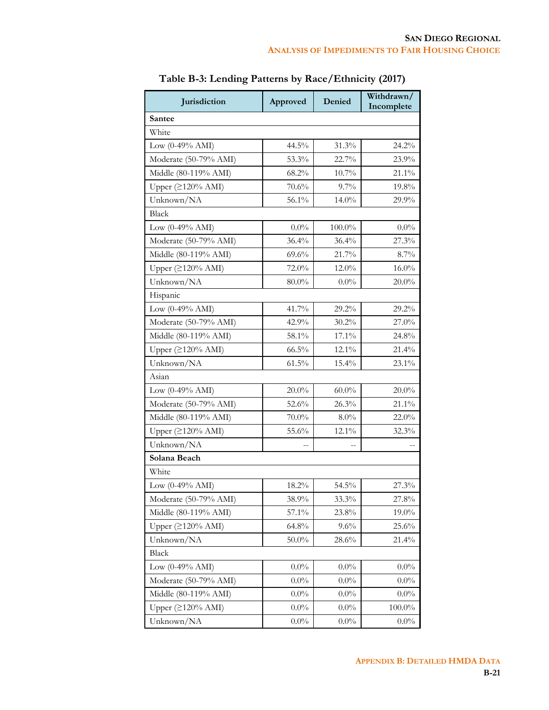| Jurisdiction                      | Approved | Denied   | Withdrawn/<br>Incomplete |
|-----------------------------------|----------|----------|--------------------------|
| Santee                            |          |          |                          |
| White                             |          |          |                          |
| Low $(0-49\% \text{ AMI})$        | 44.5%    | 31.3%    | 24.2%                    |
| Moderate (50-79% AMI)             | 53.3%    | 22.7%    | 23.9%                    |
| Middle (80-119% AMI)              | 68.2%    | $10.7\%$ | 21.1%                    |
| Upper (≥120% AMI)                 | 70.6%    | $9.7\%$  | 19.8%                    |
| Unknown/NA                        | 56.1%    | 14.0%    | 29.9%                    |
| <b>Black</b>                      |          |          |                          |
| Low $(0-49\% \text{ AMI})$        | $0.0\%$  | 100.0%   | $0.0\%$                  |
| Moderate (50-79% AMI)             | 36.4%    | 36.4%    | 27.3%                    |
| Middle (80-119% AMI)              | 69.6%    | 21.7%    | 8.7%                     |
| Upper $(2120% AMI)$               | 72.0%    | $12.0\%$ | $16.0\%$                 |
| Unknown/NA                        | $80.0\%$ | $0.0\%$  | $20.0\%$                 |
| Hispanic                          |          |          |                          |
| Low (0-49% AMI)                   | 41.7%    | 29.2%    | 29.2%                    |
| Moderate (50-79% AMI)             | 42.9%    | $30.2\%$ | 27.0%                    |
| Middle (80-119% AMI)              | 58.1%    | 17.1%    | 24.8%                    |
| Upper $(2120% AMI)$               | $66.5\%$ | 12.1%    | 21.4%                    |
| Unknown/NA                        | $61.5\%$ | 15.4%    | 23.1%                    |
| Asian                             |          |          |                          |
| Low (0-49% AMI)                   | $20.0\%$ | $60.0\%$ | $20.0\%$                 |
| Moderate (50-79% AMI)             | 52.6%    | 26.3%    | 21.1%                    |
| Middle (80-119% AMI)              | $70.0\%$ | $8.0\%$  | 22.0%                    |
| Upper (≥120% AMI)                 | 55.6%    | 12.1%    | 32.3%                    |
| Unknown/NA                        |          |          |                          |
| Solana Beach                      |          |          |                          |
| White                             |          |          |                          |
| Low $(0-49\% \text{ AMI})$        | 18.2%    | 54.5%    | 27.3%                    |
| Moderate (50-79% AMI)             | 38.9%    | 33.3%    | 27.8%                    |
| Middle (80-119% AMI)              | 57.1%    | 23.8%    | 19.0%                    |
| Upper $( \geq 120\% \text{ AMI})$ | 64.8%    | 9.6%     | 25.6%                    |
| Unknown/NA                        | 50.0%    | 28.6%    | 21.4%                    |
| <b>Black</b>                      |          |          |                          |
| Low $(0-49\% \text{ AMI})$        | $0.0\%$  | $0.0\%$  | $0.0\%$                  |
| Moderate (50-79% AMI)             | $0.0\%$  | $0.0\%$  | $0.0\%$                  |
| Middle (80-119% AMI)              | $0.0\%$  | $0.0\%$  | $0.0\%$                  |
| Upper $(2120% AMI)$               | $0.0\%$  | $0.0\%$  | $100.0\%$                |
| Unknown/NA                        | $0.0\%$  | $0.0\%$  | $0.0\%$                  |

**Table B-3: Lending Patterns by Race/Ethnicity (2017)**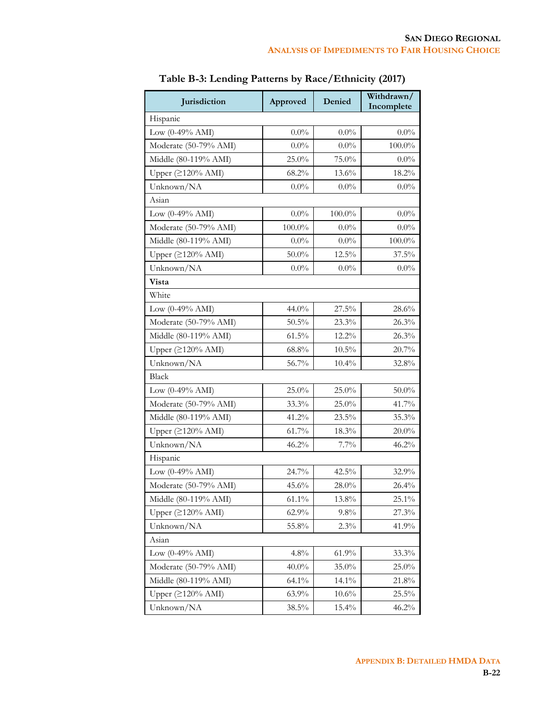| Jurisdiction                 | Approved  | Denied    | Withdrawn/<br>Incomplete |  |
|------------------------------|-----------|-----------|--------------------------|--|
| Hispanic                     |           |           |                          |  |
| Low $(0-49\% \text{ AMI})$   | $0.0\%$   | $0.0\%$   | $0.0\%$                  |  |
| Moderate (50-79% AMI)        | $0.0\%$   | $0.0\%$   | $100.0\%$                |  |
| Middle (80-119% AMI)         | 25.0%     | 75.0%     | $0.0\%$                  |  |
| Upper (≥120% AMI)            | 68.2%     | 13.6%     | 18.2%                    |  |
| Unknown/NA                   | $0.0\%$   | $0.0\%$   | $0.0\%$                  |  |
| Asian                        |           |           |                          |  |
| Low $(0-49% AMI)$            | $0.0\%$   | $100.0\%$ | $0.0\%$                  |  |
| Moderate (50-79% AMI)        | $100.0\%$ | $0.0\%$   | $0.0\%$                  |  |
| Middle (80-119% AMI)         | $0.0\%$   | $0.0\%$   | $100.0\%$                |  |
| Upper (≥120% AMI)            | $50.0\%$  | 12.5%     | 37.5%                    |  |
| Unknown/NA                   | $0.0\%$   | $0.0\%$   | $0.0\%$                  |  |
| Vista                        |           |           |                          |  |
| White                        |           |           |                          |  |
| Low $(0-49\% \text{ AMI})$   | 44.0%     | 27.5%     | 28.6%                    |  |
| Moderate (50-79% AMI)        | 50.5%     | 23.3%     | 26.3%                    |  |
| Middle (80-119% AMI)         | 61.5%     | 12.2%     | 26.3%                    |  |
| Upper (≥120% AMI)            | $68.8\%$  | $10.5\%$  | 20.7%                    |  |
| Unknown/NA                   | 56.7%     | 10.4%     | 32.8%                    |  |
| <b>Black</b>                 |           |           |                          |  |
| Low $(0-49\% \text{ AMI})$   | 25.0%     | $25.0\%$  | $50.0\%$                 |  |
| Moderate (50-79% AMI)        | 33.3%     | 25.0%     | 41.7%                    |  |
| Middle (80-119% AMI)         | 41.2%     | 23.5%     | 35.3%                    |  |
| Upper (≥120% AMI)            | $61.7\%$  | 18.3%     | $20.0\%$                 |  |
| Unknown/NA                   | 46.2%     | 7.7%      | 46.2%                    |  |
| Hispanic                     |           |           |                          |  |
| Low $(0-49% AMI)$            | 24.7%     | 42.5%     | 32.9%                    |  |
| Moderate (50-79% AMI)        | 45.6%     | 28.0%     | 26.4%                    |  |
| Middle (80-119% AMI)         | $61.1\%$  | 13.8%     | $25.1\%$                 |  |
| Upper (≥120% AMI)            | 62.9%     | 9.8%      | 27.3%                    |  |
| Unknown/NA                   | 55.8%     | 2.3%      | 41.9%                    |  |
| Asian                        |           |           |                          |  |
| Low $(0-49\% \text{ AMI})$   | 4.8%      | 61.9%     | 33.3%                    |  |
| Moderate (50-79% AMI)        | $40.0\%$  | 35.0%     | $25.0\%$                 |  |
| Middle (80-119% AMI)         | 64.1%     | 14.1%     | 21.8%                    |  |
| Upper $(2120\% \text{ AMI})$ | 63.9%     | 10.6%     | 25.5%                    |  |
| Unknown/NA                   | 38.5%     | 15.4%     | 46.2%                    |  |

**Table B-3: Lending Patterns by Race/Ethnicity (2017)**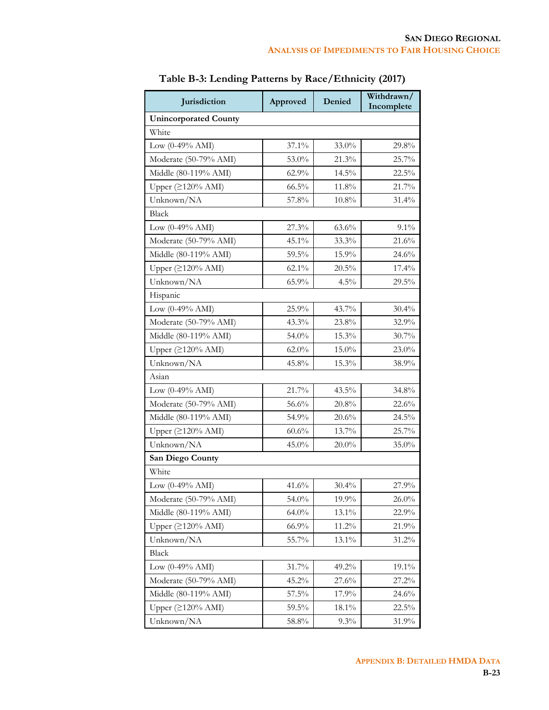| Jurisdiction                 | Approved | Denied   | Withdrawn/<br>Incomplete |
|------------------------------|----------|----------|--------------------------|
| <b>Unincorporated County</b> |          |          |                          |
| White                        |          |          |                          |
| Low $(0-49\% \text{ AMI})$   | $37.1\%$ | 33.0%    | 29.8%                    |
| Moderate (50-79% AMI)        | 53.0%    | 21.3%    | 25.7%                    |
| Middle (80-119% AMI)         | 62.9%    | 14.5%    | 22.5%                    |
| Upper $(2120\% \text{ AMI})$ | 66.5%    | 11.8%    | 21.7%                    |
| Unknown/NA                   | 57.8%    | 10.8%    | 31.4%                    |
| <b>Black</b>                 |          |          |                          |
| Low $(0-49\% \text{ AMI})$   | 27.3%    | 63.6%    | $9.1\%$                  |
| Moderate (50-79% AMI)        | 45.1%    | 33.3%    | 21.6%                    |
| Middle (80-119% AMI)         | 59.5%    | 15.9%    | 24.6%                    |
| Upper $(2120%$ AMI)          | 62.1%    | 20.5%    | $17.4\%$                 |
| Unknown/NA                   | 65.9%    | 4.5%     | 29.5%                    |
| Hispanic                     |          |          |                          |
| Low $(0-49\% \text{ AMI})$   | $25.9\%$ | 43.7%    | 30.4%                    |
| Moderate (50-79% AMI)        | 43.3%    | 23.8%    | 32.9%                    |
| Middle (80-119% AMI)         | 54.0%    | 15.3%    | 30.7%                    |
| Upper $(≥120% AMI)$          | $62.0\%$ | 15.0%    | 23.0%                    |
| Unknown/NA                   | 45.8%    | 15.3%    | 38.9%                    |
| Asian                        |          |          |                          |
| Low $(0-49\% \text{ AMI})$   | 21.7%    | 43.5%    | 34.8%                    |
| Moderate (50-79% AMI)        | $56.6\%$ | 20.8%    | 22.6%                    |
| Middle (80-119% AMI)         | 54.9%    | 20.6%    | 24.5%                    |
| Upper $(2120\% \text{ AMI})$ | $60.6\%$ | 13.7%    | 25.7%                    |
| Unknown/NA                   | 45.0%    | $20.0\%$ | 35.0%                    |
| San Diego County             |          |          |                          |
| White                        |          |          |                          |
| Low $(0-49\% \text{ AMI})$   | 41.6%    | 30.4%    | 27.9%                    |
| Moderate (50-79% AMI)        | 54.0%    | 19.9%    | $26.0\%$                 |
| Middle (80-119% AMI)         | $64.0\%$ | $13.1\%$ | 22.9%                    |
| Upper (≥120% AMI)            | 66.9%    | $11.2\%$ | 21.9%                    |
| Unknown/NA                   | $55.7\%$ | 13.1%    | 31.2%                    |
| Black                        |          |          |                          |
| Low $(0-49\% \text{ AMI})$   | 31.7%    | 49.2%    | 19.1%                    |
| Moderate (50-79% AMI)        | 45.2%    | 27.6%    | 27.2%                    |
| Middle (80-119% AMI)         | 57.5%    | 17.9%    | 24.6%                    |
| Upper $(2120\% \text{ AMI})$ | 59.5%    | 18.1%    | 22.5%                    |
| Unknown/NA                   | 58.8%    | 9.3%     | 31.9%                    |

| Table B-3: Lending Patterns by Race/Ethnicity (2017) |  |  |  |
|------------------------------------------------------|--|--|--|
|------------------------------------------------------|--|--|--|